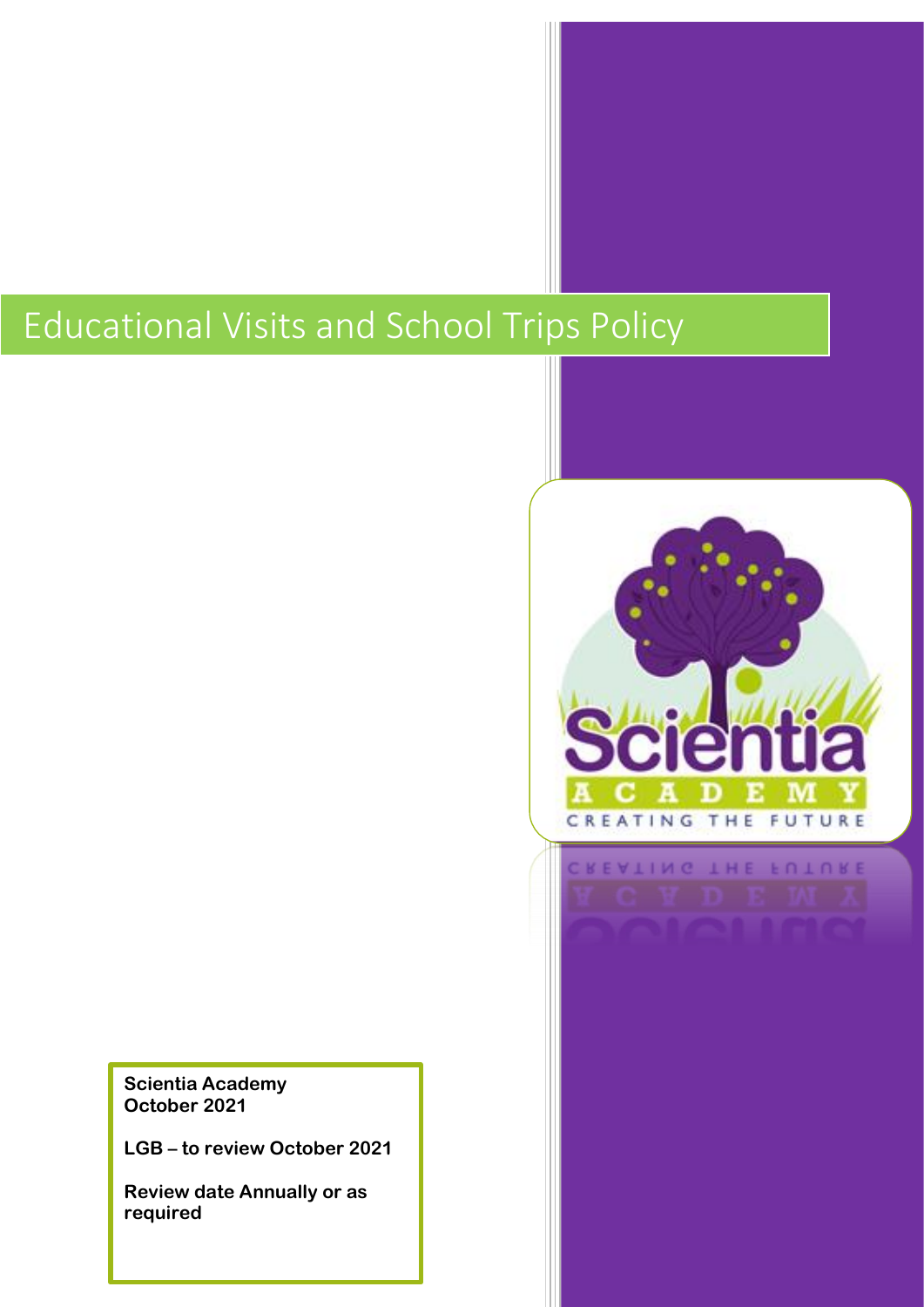# Educational Visits and School Trips Policy



**Scientia Academy October 2021**

**LGB – to review October 2021**

**Review date Annually or as required**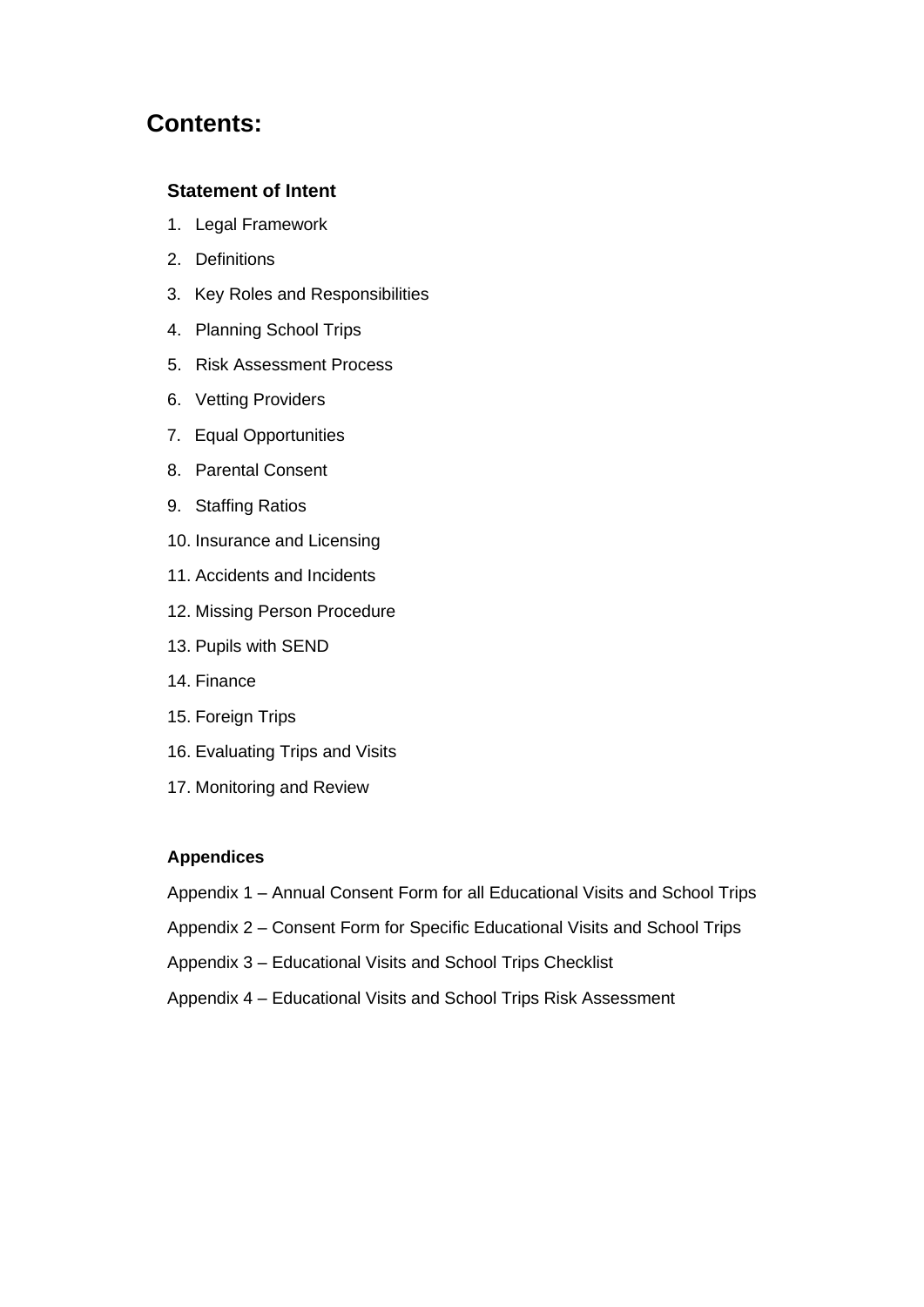### **Contents:**

#### **Statement of Intent**

- 1. Legal Framework
- 2. Definitions
- 3. Key Roles and Responsibilities
- 4. Planning School Trips
- 5. Risk Assessment Process
- 6. Vetting Providers
- 7. Equal Opportunities
- 8. Parental Consent
- 9. Staffing Ratios
- 10. Insurance and Licensing
- 11. Accidents and Incidents
- 12. Missing Person Procedure
- 13. Pupils with SEND
- 14. Finance
- 15. Foreign Trips
- 16. Evaluating Trips and Visits
- 17. Monitoring and Review

#### **Appendices**

- Appendix 1 Annual Consent Form for all Educational Visits and School Trips
- Appendix 2 Consent Form for Specific Educational Visits and School Trips
- Appendix 3 Educational Visits and School Trips Checklist
- Appendix 4 Educational Visits and School Trips Risk Assessment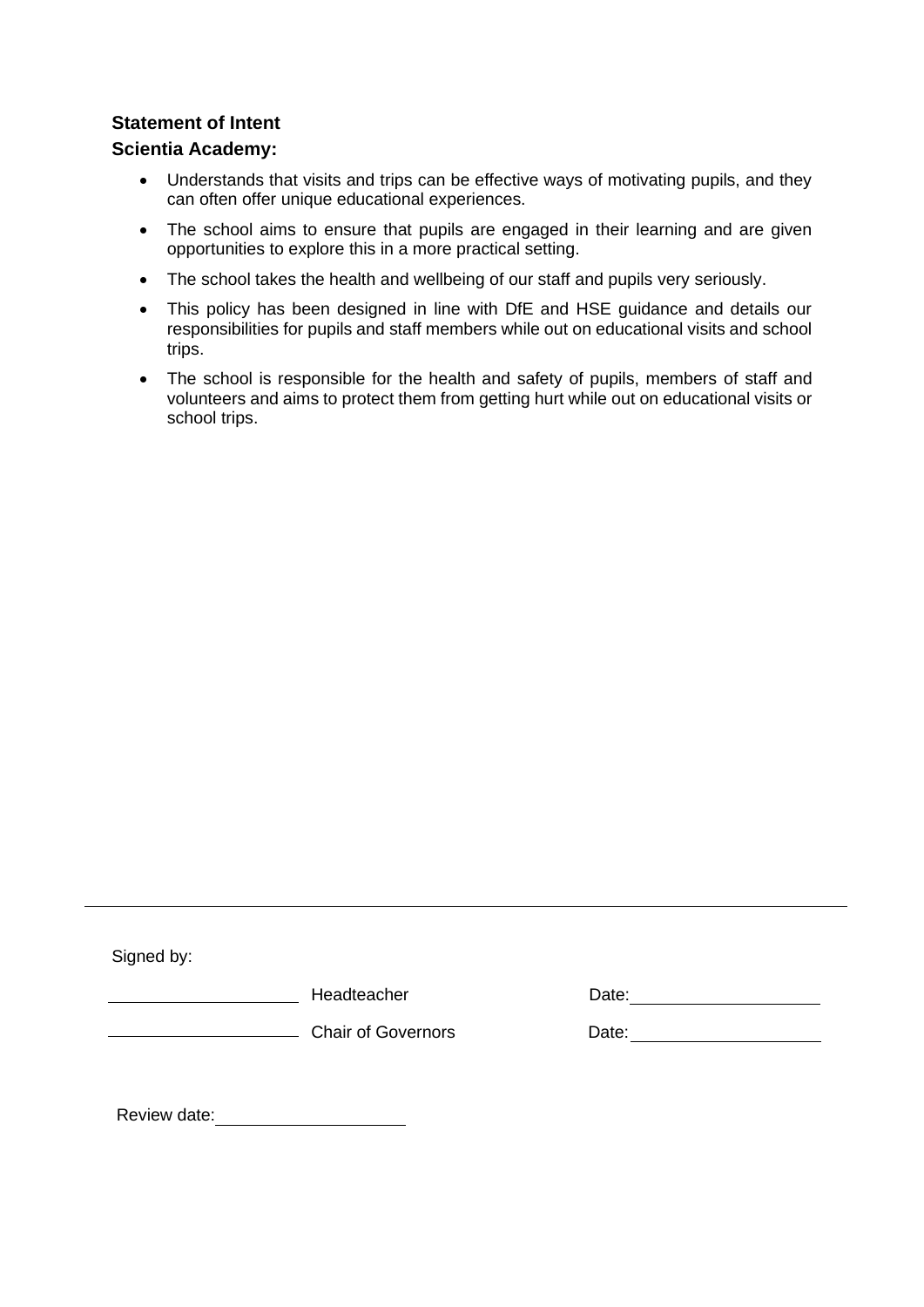#### **Statement of Intent**

#### **Scientia Academy:**

- Understands that visits and trips can be effective ways of motivating pupils, and they can often offer unique educational experiences.
- The school aims to ensure that pupils are engaged in their learning and are given opportunities to explore this in a more practical setting.
- The school takes the health and wellbeing of our staff and pupils very seriously.
- This policy has been designed in line with DfE and HSE guidance and details our responsibilities for pupils and staff members while out on educational visits and school trips.
- The school is responsible for the health and safety of pupils, members of staff and volunteers and aims to protect them from getting hurt while out on educational visits or school trips.

Signed by:

**Headteacher Contact Date:** Date:

and Chair of Governors and Date: Chair of Governors and Date:

Review date: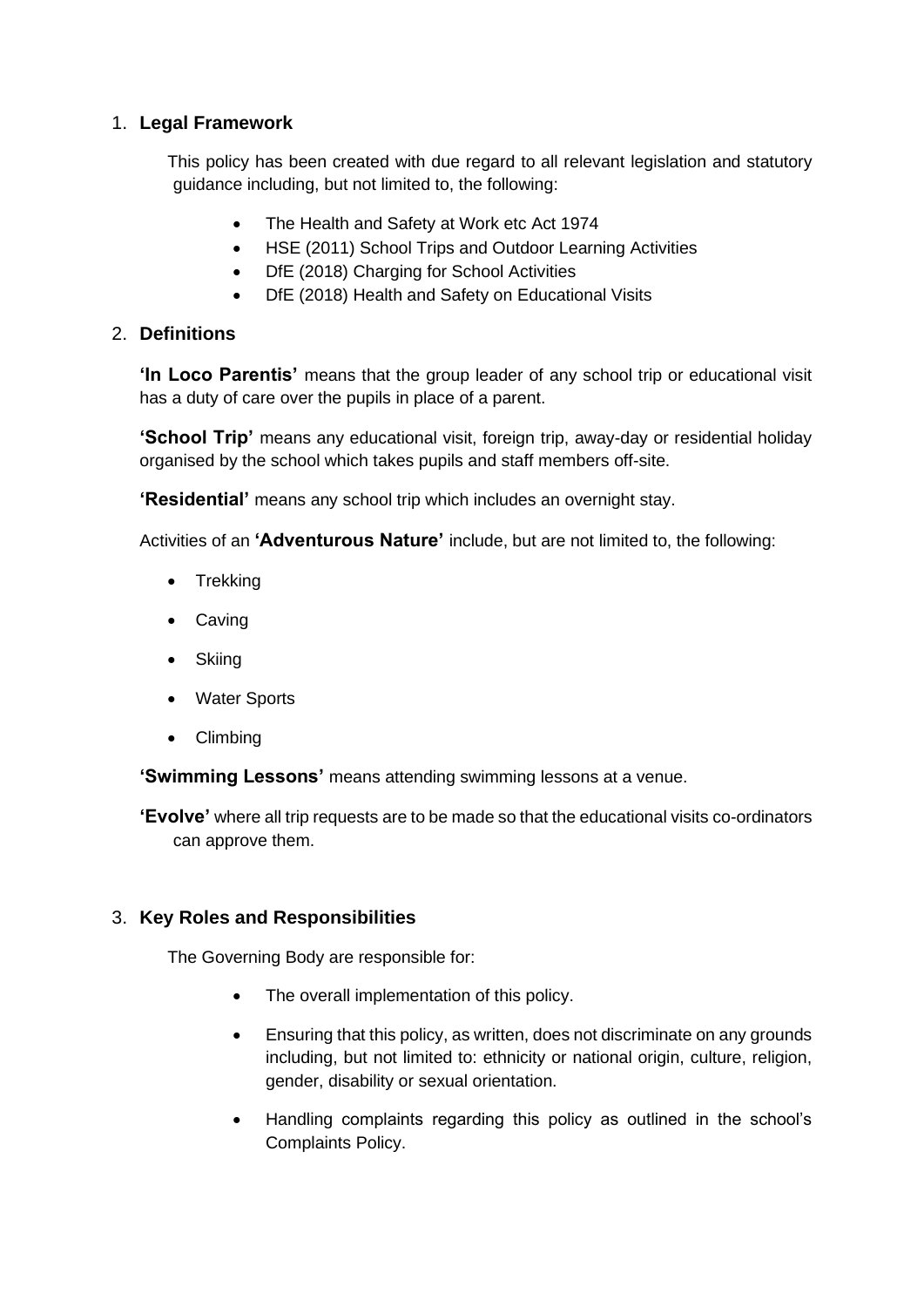#### 1. **Legal Framework**

This policy has been created with due regard to all relevant legislation and statutory guidance including, but not limited to, the following:

- The Health and Safety at Work etc Act 1974
- HSE (2011) School Trips and Outdoor Learning Activities
- DfE (2018) Charging for School Activities
- DfE (2018) Health and Safety on Educational Visits

#### 2. **Definitions**

**'In Loco Parentis'** means that the group leader of any school trip or educational visit has a duty of care over the pupils in place of a parent.

**'School Trip'** means any educational visit, foreign trip, away-day or residential holiday organised by the school which takes pupils and staff members off-site.

**'Residential'** means any school trip which includes an overnight stay.

Activities of an **'Adventurous Nature'** include, but are not limited to, the following:

- Trekking
- Caving
- Skiing
- Water Sports
- Climbing

**'Swimming Lessons'** means attending swimming lessons at a venue.

**'Evolve'** where all trip requests are to be made so that the educational visits co-ordinators can approve them.

#### 3. **Key Roles and Responsibilities**

The Governing Body are responsible for:

- The overall implementation of this policy.
- Ensuring that this policy, as written, does not discriminate on any grounds including, but not limited to: ethnicity or national origin, culture, religion, gender, disability or sexual orientation.
- Handling complaints regarding this policy as outlined in the school's Complaints Policy.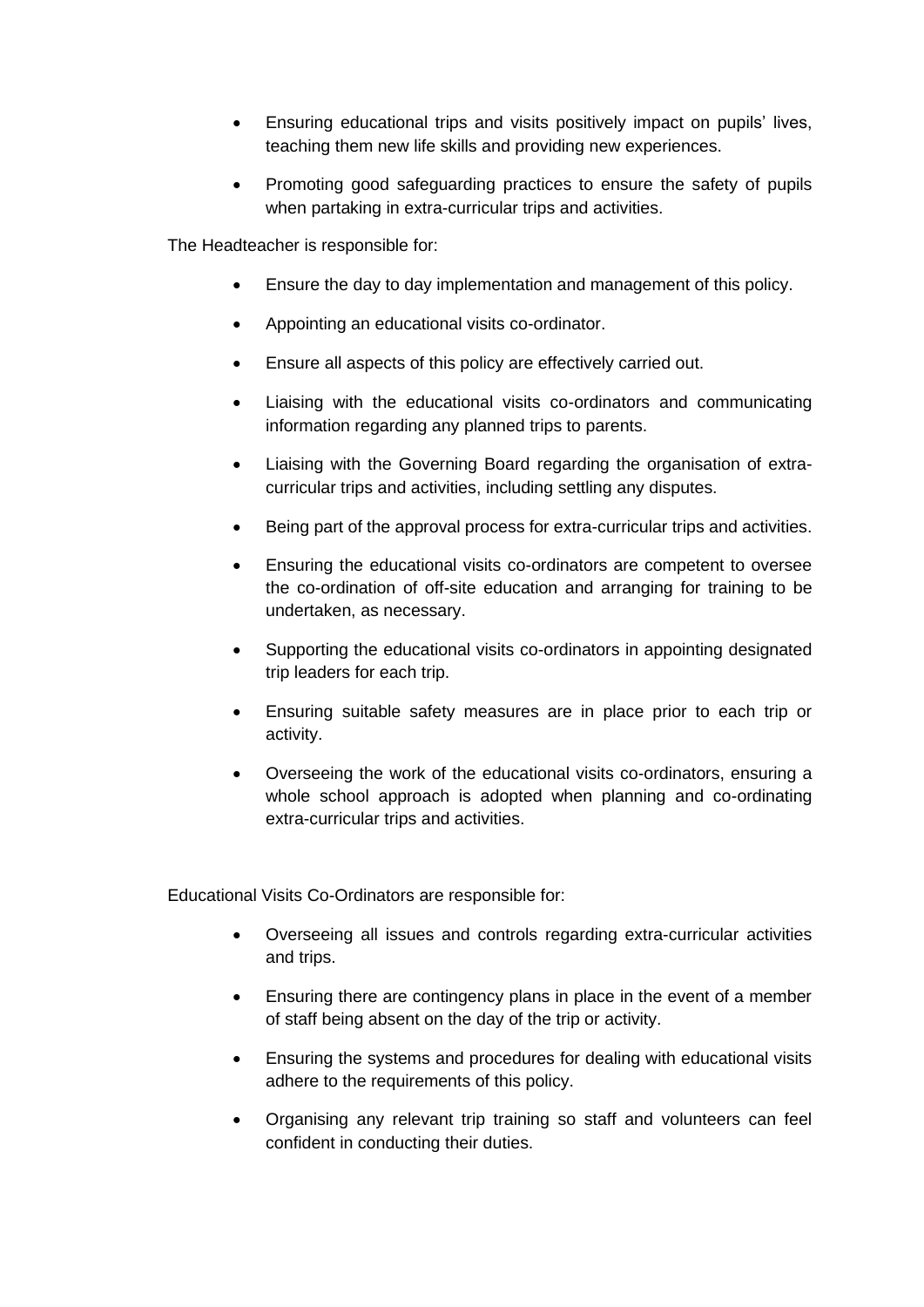- Ensuring educational trips and visits positively impact on pupils' lives, teaching them new life skills and providing new experiences.
- Promoting good safeguarding practices to ensure the safety of pupils when partaking in extra-curricular trips and activities.

The Headteacher is responsible for:

- Ensure the day to day implementation and management of this policy.
- Appointing an educational visits co-ordinator.
- Ensure all aspects of this policy are effectively carried out.
- Liaising with the educational visits co-ordinators and communicating information regarding any planned trips to parents.
- Liaising with the Governing Board regarding the organisation of extracurricular trips and activities, including settling any disputes.
- Being part of the approval process for extra-curricular trips and activities.
- Ensuring the educational visits co-ordinators are competent to oversee the co-ordination of off-site education and arranging for training to be undertaken, as necessary.
- Supporting the educational visits co-ordinators in appointing designated trip leaders for each trip.
- Ensuring suitable safety measures are in place prior to each trip or activity.
- Overseeing the work of the educational visits co-ordinators, ensuring a whole school approach is adopted when planning and co-ordinating extra-curricular trips and activities.

Educational Visits Co-Ordinators are responsible for:

- Overseeing all issues and controls regarding extra-curricular activities and trips.
- Ensuring there are contingency plans in place in the event of a member of staff being absent on the day of the trip or activity.
- Ensuring the systems and procedures for dealing with educational visits adhere to the requirements of this policy.
- Organising any relevant trip training so staff and volunteers can feel confident in conducting their duties.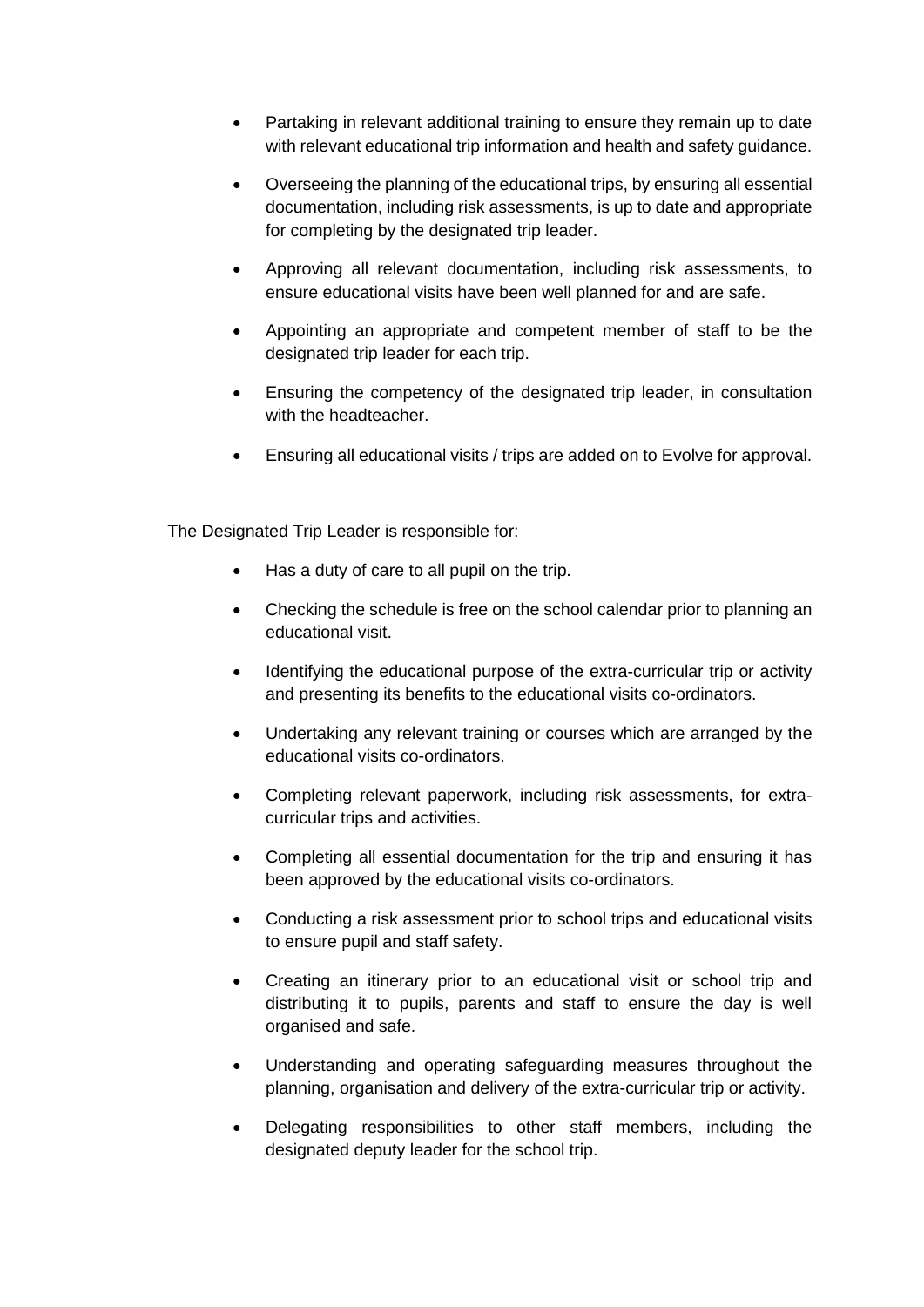- Partaking in relevant additional training to ensure they remain up to date with relevant educational trip information and health and safety quidance.
- Overseeing the planning of the educational trips, by ensuring all essential documentation, including risk assessments, is up to date and appropriate for completing by the designated trip leader.
- Approving all relevant documentation, including risk assessments, to ensure educational visits have been well planned for and are safe.
- Appointing an appropriate and competent member of staff to be the designated trip leader for each trip.
- Ensuring the competency of the designated trip leader, in consultation with the headteacher.
- Ensuring all educational visits / trips are added on to Evolve for approval.

The Designated Trip Leader is responsible for:

- Has a duty of care to all pupil on the trip.
- Checking the schedule is free on the school calendar prior to planning an educational visit.
- Identifying the educational purpose of the extra-curricular trip or activity and presenting its benefits to the educational visits co-ordinators.
- Undertaking any relevant training or courses which are arranged by the educational visits co-ordinators.
- Completing relevant paperwork, including risk assessments, for extracurricular trips and activities.
- Completing all essential documentation for the trip and ensuring it has been approved by the educational visits co-ordinators.
- Conducting a risk assessment prior to school trips and educational visits to ensure pupil and staff safety.
- Creating an itinerary prior to an educational visit or school trip and distributing it to pupils, parents and staff to ensure the day is well organised and safe.
- Understanding and operating safeguarding measures throughout the planning, organisation and delivery of the extra-curricular trip or activity.
- Delegating responsibilities to other staff members, including the designated deputy leader for the school trip.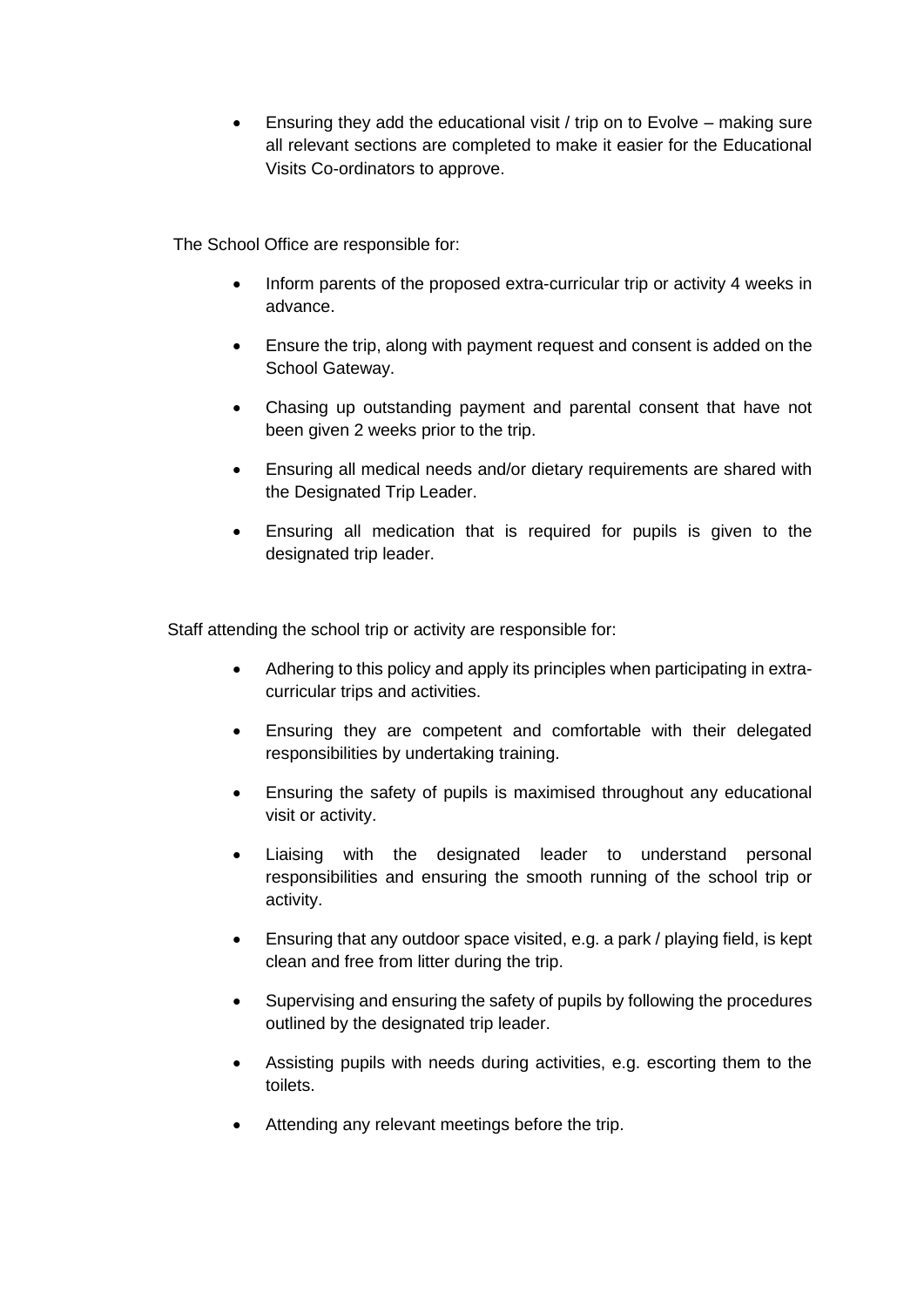• Ensuring they add the educational visit / trip on to Evolve – making sure all relevant sections are completed to make it easier for the Educational Visits Co-ordinators to approve.

The School Office are responsible for:

- Inform parents of the proposed extra-curricular trip or activity 4 weeks in advance.
- Ensure the trip, along with payment request and consent is added on the School Gateway.
- Chasing up outstanding payment and parental consent that have not been given 2 weeks prior to the trip.
- Ensuring all medical needs and/or dietary requirements are shared with the Designated Trip Leader.
- Ensuring all medication that is required for pupils is given to the designated trip leader.

Staff attending the school trip or activity are responsible for:

- Adhering to this policy and apply its principles when participating in extracurricular trips and activities.
- Ensuring they are competent and comfortable with their delegated responsibilities by undertaking training.
- Ensuring the safety of pupils is maximised throughout any educational visit or activity.
- Liaising with the designated leader to understand personal responsibilities and ensuring the smooth running of the school trip or activity.
- Ensuring that any outdoor space visited, e.g. a park / playing field, is kept clean and free from litter during the trip.
- Supervising and ensuring the safety of pupils by following the procedures outlined by the designated trip leader.
- Assisting pupils with needs during activities, e.g. escorting them to the toilets.
- Attending any relevant meetings before the trip.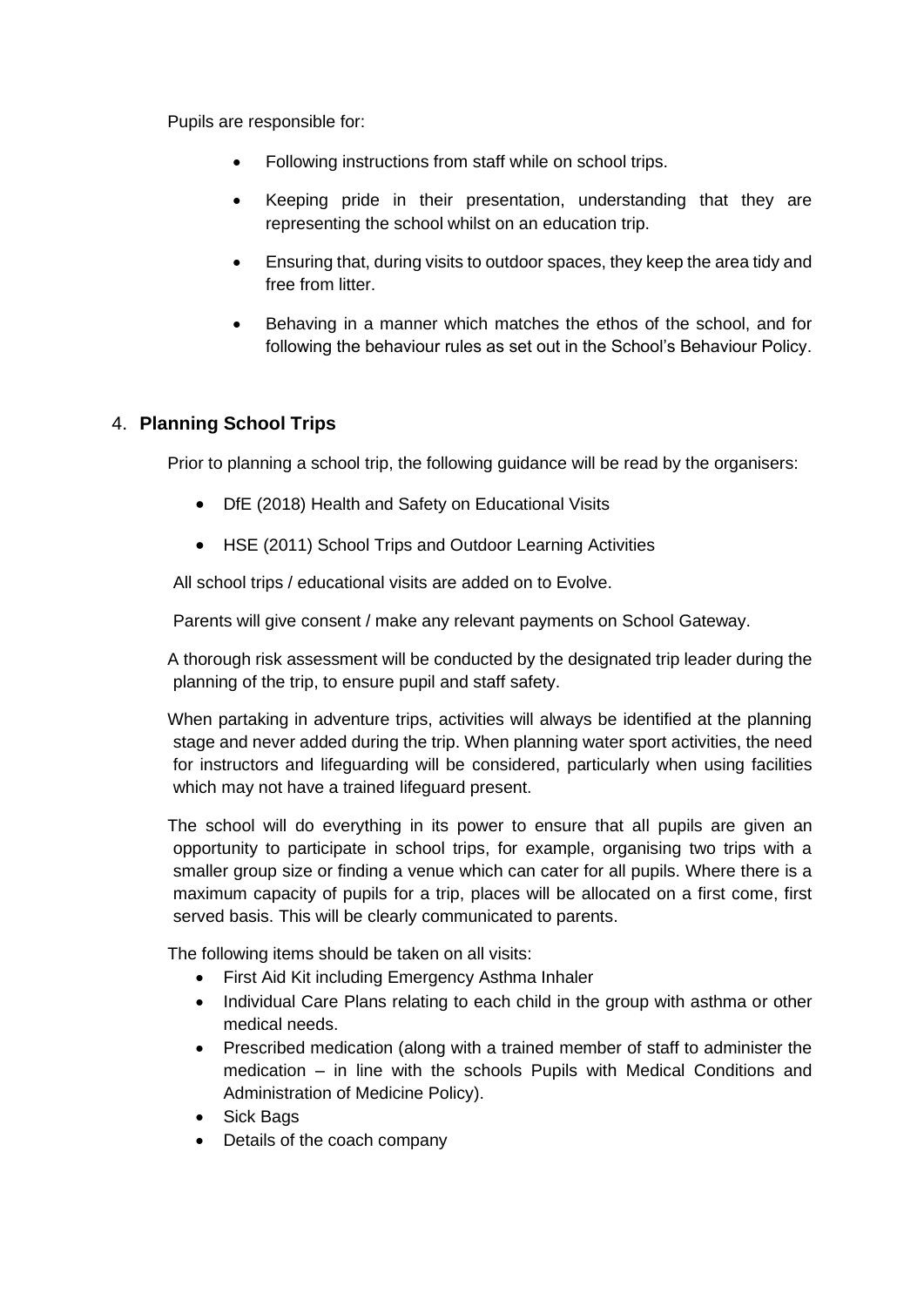Pupils are responsible for:

- Following instructions from staff while on school trips.
- Keeping pride in their presentation, understanding that they are representing the school whilst on an education trip.
- Ensuring that, during visits to outdoor spaces, they keep the area tidy and free from litter.
- Behaving in a manner which matches the ethos of the school, and for following the behaviour rules as set out in the School's Behaviour Policy.

#### 4. **Planning School Trips**

Prior to planning a school trip, the following guidance will be read by the organisers:

- DfE (2018) Health and Safety on Educational Visits
- HSE (2011) School Trips and Outdoor Learning Activities

All school trips / educational visits are added on to Evolve.

Parents will give consent / make any relevant payments on School Gateway.

A thorough risk assessment will be conducted by the designated trip leader during the planning of the trip, to ensure pupil and staff safety.

When partaking in adventure trips, activities will always be identified at the planning stage and never added during the trip. When planning water sport activities, the need for instructors and lifeguarding will be considered, particularly when using facilities which may not have a trained lifeguard present.

The school will do everything in its power to ensure that all pupils are given an opportunity to participate in school trips, for example, organising two trips with a smaller group size or finding a venue which can cater for all pupils. Where there is a maximum capacity of pupils for a trip, places will be allocated on a first come, first served basis. This will be clearly communicated to parents.

The following items should be taken on all visits:

- First Aid Kit including Emergency Asthma Inhaler
- Individual Care Plans relating to each child in the group with asthma or other medical needs.
- Prescribed medication (along with a trained member of staff to administer the medication – in line with the schools Pupils with Medical Conditions and Administration of Medicine Policy).
- Sick Bags
- Details of the coach company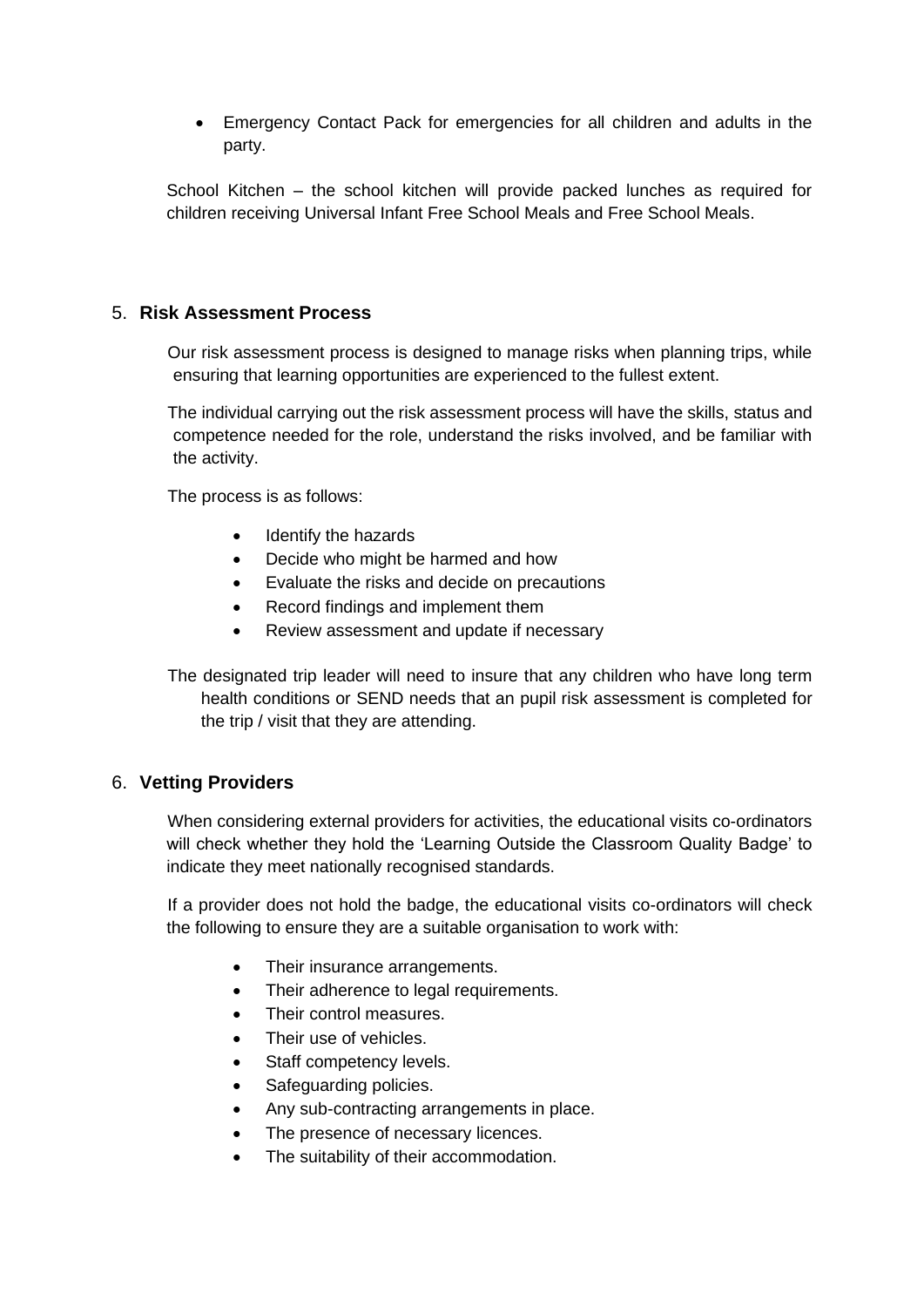• Emergency Contact Pack for emergencies for all children and adults in the party.

School Kitchen – the school kitchen will provide packed lunches as required for children receiving Universal Infant Free School Meals and Free School Meals.

#### 5. **Risk Assessment Process**

Our risk assessment process is designed to manage risks when planning trips, while ensuring that learning opportunities are experienced to the fullest extent.

The individual carrying out the risk assessment process will have the skills, status and competence needed for the role, understand the risks involved, and be familiar with the activity.

The process is as follows:

- Identify the hazards
- Decide who might be harmed and how
- Evaluate the risks and decide on precautions
- Record findings and implement them
- Review assessment and update if necessary

The designated trip leader will need to insure that any children who have long term health conditions or SEND needs that an pupil risk assessment is completed for the trip / visit that they are attending.

#### 6. **Vetting Providers**

When considering external providers for activities, the educational visits co-ordinators will check whether they hold the 'Learning Outside the Classroom Quality Badge' to indicate they meet nationally recognised standards.

If a provider does not hold the badge, the educational visits co-ordinators will check the following to ensure they are a suitable organisation to work with:

- Their insurance arrangements.
- Their adherence to legal requirements.
- Their control measures.
- Their use of vehicles.
- Staff competency levels.
- Safeguarding policies.
- Any sub-contracting arrangements in place.
- The presence of necessary licences.
- The suitability of their accommodation.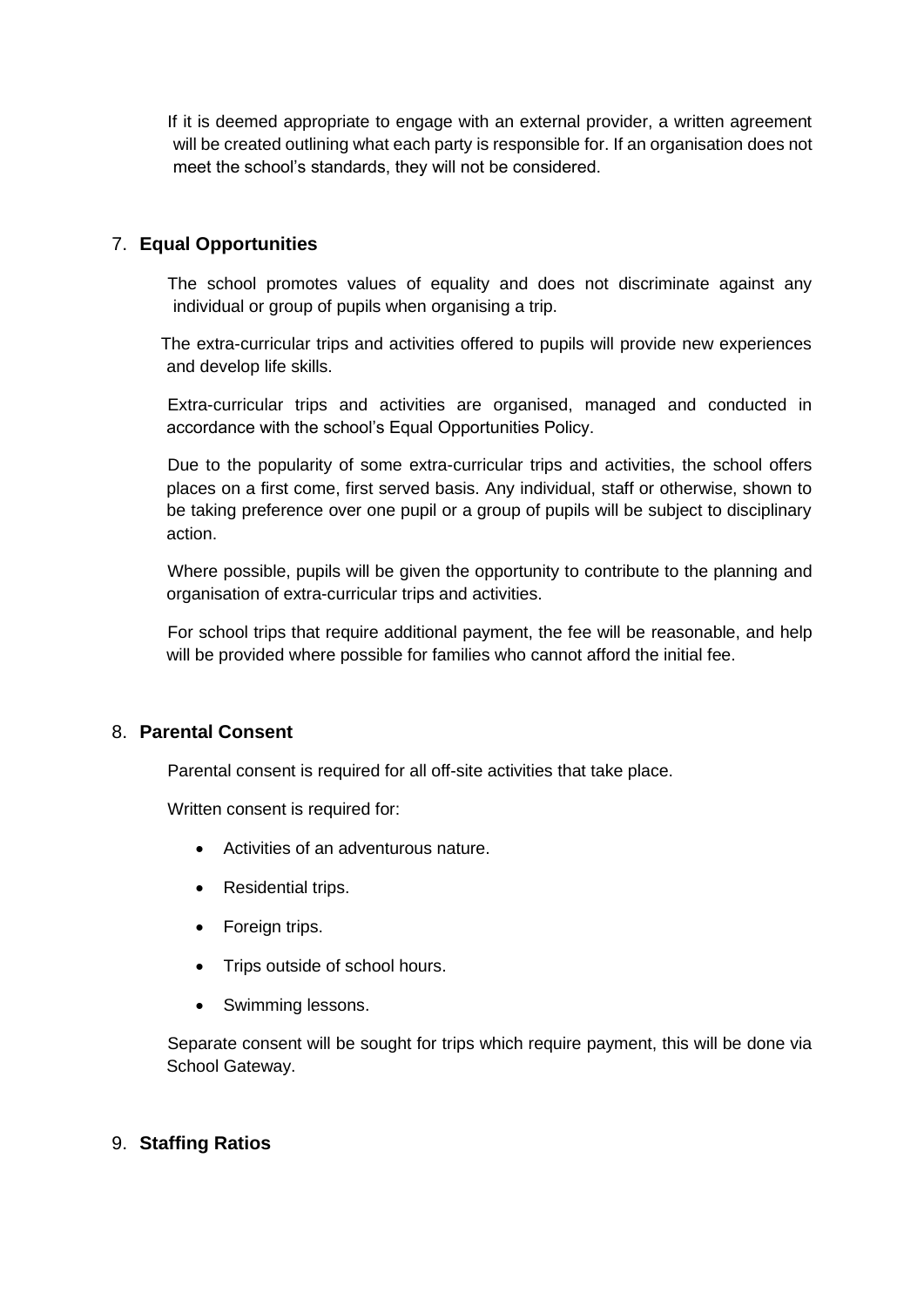If it is deemed appropriate to engage with an external provider, a written agreement will be created outlining what each party is responsible for. If an organisation does not meet the school's standards, they will not be considered.

#### 7. **Equal Opportunities**

The school promotes values of equality and does not discriminate against any individual or group of pupils when organising a trip.

The extra-curricular trips and activities offered to pupils will provide new experiences and develop life skills.

Extra-curricular trips and activities are organised, managed and conducted in accordance with the school's Equal Opportunities Policy.

Due to the popularity of some extra-curricular trips and activities, the school offers places on a first come, first served basis. Any individual, staff or otherwise, shown to be taking preference over one pupil or a group of pupils will be subject to disciplinary action.

Where possible, pupils will be given the opportunity to contribute to the planning and organisation of extra-curricular trips and activities.

For school trips that require additional payment, the fee will be reasonable, and help will be provided where possible for families who cannot afford the initial fee.

#### 8. **Parental Consent**

Parental consent is required for all off-site activities that take place.

Written consent is required for:

- Activities of an adventurous nature.
- Residential trips.
- Foreign trips.
- Trips outside of school hours.
- Swimming lessons.

Separate consent will be sought for trips which require payment, this will be done via School Gateway.

#### 9. **Staffing Ratios**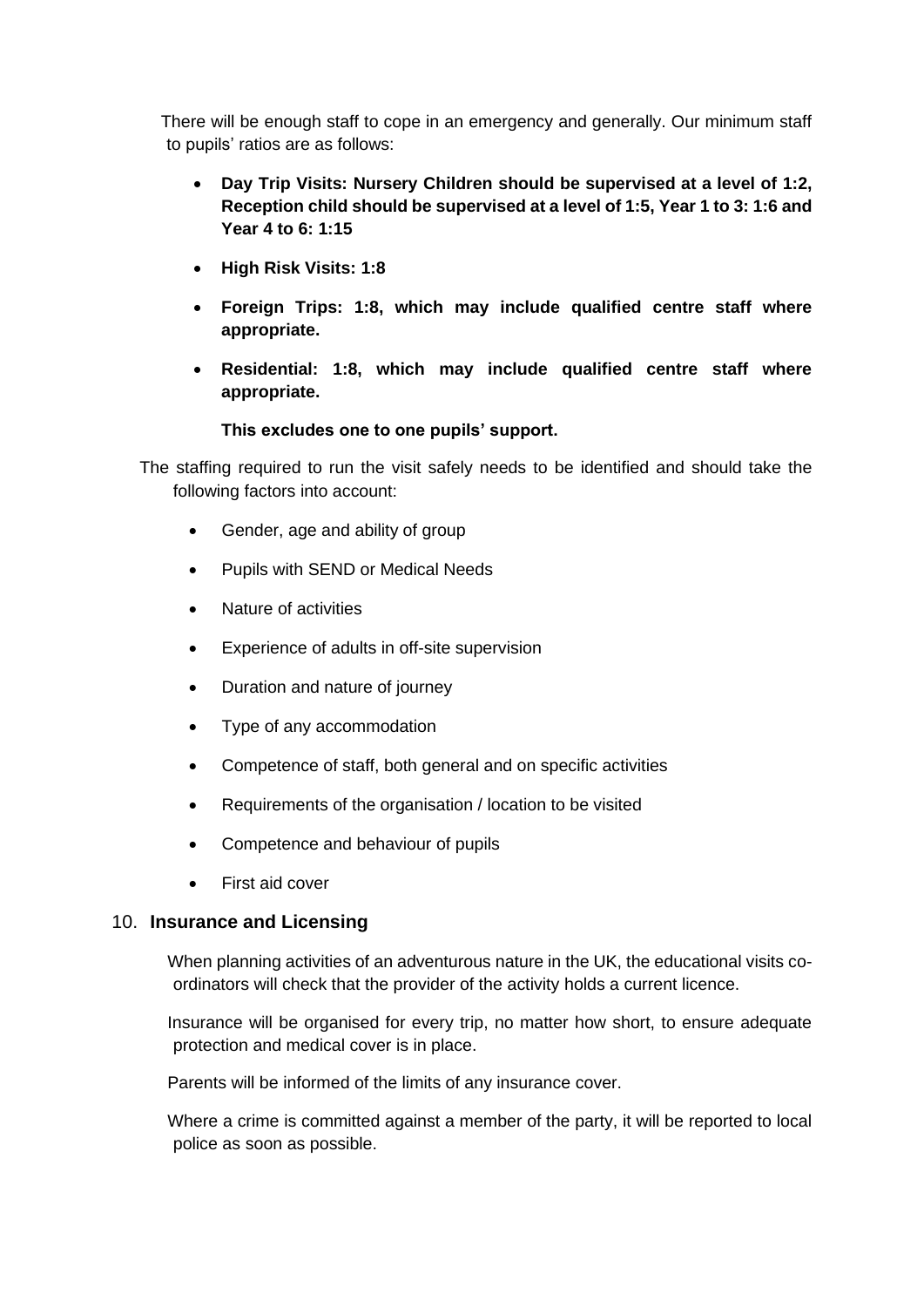There will be enough staff to cope in an emergency and generally. Our minimum staff to pupils' ratios are as follows:

- **Day Trip Visits: Nursery Children should be supervised at a level of 1:2, Reception child should be supervised at a level of 1:5, Year 1 to 3: 1:6 and Year 4 to 6: 1:15**
- **High Risk Visits: 1:8**
- **Foreign Trips: 1:8, which may include qualified centre staff where appropriate.**
- **Residential: 1:8, which may include qualified centre staff where appropriate.**

#### **This excludes one to one pupils' support.**

The staffing required to run the visit safely needs to be identified and should take the following factors into account:

- Gender, age and ability of group
- Pupils with SEND or Medical Needs
- Nature of activities
- Experience of adults in off-site supervision
- Duration and nature of journey
- Type of any accommodation
- Competence of staff, both general and on specific activities
- Requirements of the organisation / location to be visited
- Competence and behaviour of pupils
- First aid cover

#### 10. **Insurance and Licensing**

When planning activities of an adventurous nature in the UK, the educational visits coordinators will check that the provider of the activity holds a current licence.

Insurance will be organised for every trip, no matter how short, to ensure adequate protection and medical cover is in place.

Parents will be informed of the limits of any insurance cover.

Where a crime is committed against a member of the party, it will be reported to local police as soon as possible.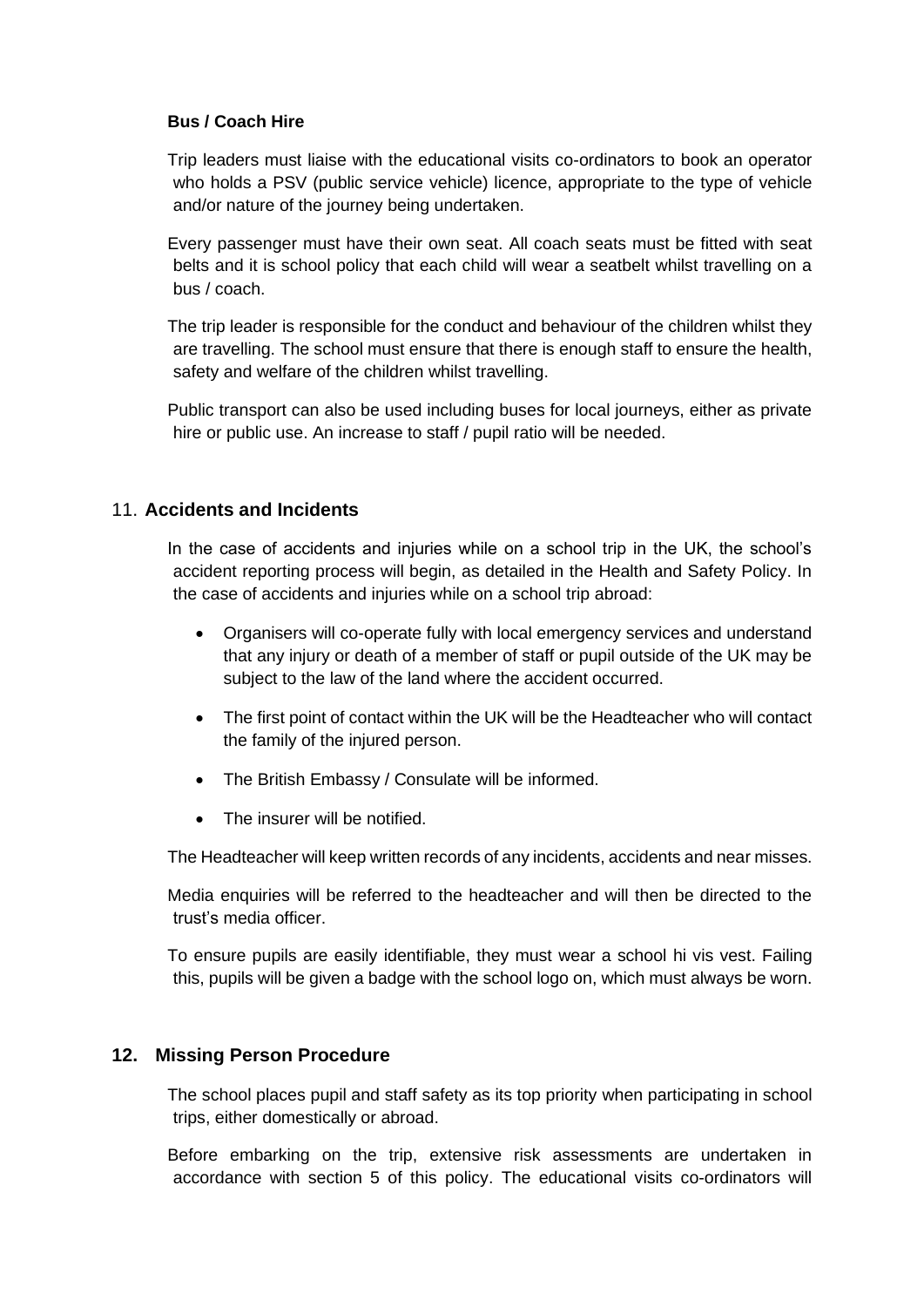#### **Bus / Coach Hire**

Trip leaders must liaise with the educational visits co-ordinators to book an operator who holds a PSV (public service vehicle) licence, appropriate to the type of vehicle and/or nature of the journey being undertaken.

Every passenger must have their own seat. All coach seats must be fitted with seat belts and it is school policy that each child will wear a seatbelt whilst travelling on a bus / coach.

The trip leader is responsible for the conduct and behaviour of the children whilst they are travelling. The school must ensure that there is enough staff to ensure the health, safety and welfare of the children whilst travelling.

Public transport can also be used including buses for local journeys, either as private hire or public use. An increase to staff / pupil ratio will be needed.

#### 11. **Accidents and Incidents**

In the case of accidents and injuries while on a school trip in the UK, the school's accident reporting process will begin, as detailed in the Health and Safety Policy. In the case of accidents and injuries while on a school trip abroad:

- Organisers will co-operate fully with local emergency services and understand that any injury or death of a member of staff or pupil outside of the UK may be subject to the law of the land where the accident occurred.
- The first point of contact within the UK will be the Headteacher who will contact the family of the injured person.
- The British Embassy / Consulate will be informed.
- The insurer will be notified.

The Headteacher will keep written records of any incidents, accidents and near misses.

Media enquiries will be referred to the headteacher and will then be directed to the trust's media officer.

To ensure pupils are easily identifiable, they must wear a school hi vis vest. Failing this, pupils will be given a badge with the school logo on, which must always be worn.

#### **12. Missing Person Procedure**

The school places pupil and staff safety as its top priority when participating in school trips, either domestically or abroad.

Before embarking on the trip, extensive risk assessments are undertaken in accordance with section 5 of this policy. The educational visits co-ordinators will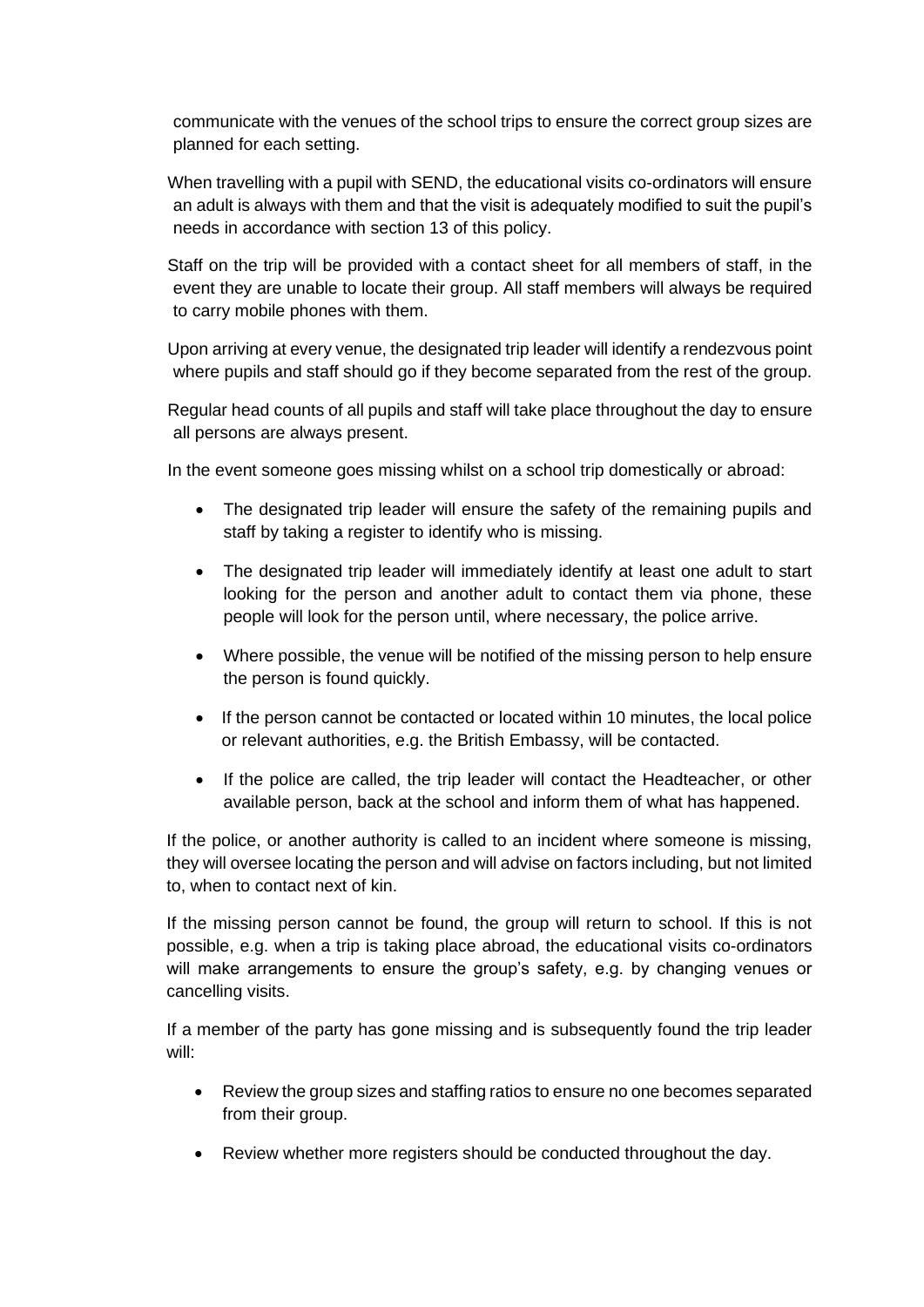communicate with the venues of the school trips to ensure the correct group sizes are planned for each setting.

When travelling with a pupil with SEND, the educational visits co-ordinators will ensure an adult is always with them and that the visit is adequately modified to suit the pupil's needs in accordance with section 13 of this policy.

Staff on the trip will be provided with a contact sheet for all members of staff, in the event they are unable to locate their group. All staff members will always be required to carry mobile phones with them.

Upon arriving at every venue, the designated trip leader will identify a rendezvous point where pupils and staff should go if they become separated from the rest of the group.

Regular head counts of all pupils and staff will take place throughout the day to ensure all persons are always present.

In the event someone goes missing whilst on a school trip domestically or abroad:

- The designated trip leader will ensure the safety of the remaining pupils and staff by taking a register to identify who is missing.
- The designated trip leader will immediately identify at least one adult to start looking for the person and another adult to contact them via phone, these people will look for the person until, where necessary, the police arrive.
- Where possible, the venue will be notified of the missing person to help ensure the person is found quickly.
- If the person cannot be contacted or located within 10 minutes, the local police or relevant authorities, e.g. the British Embassy, will be contacted.
- If the police are called, the trip leader will contact the Headteacher, or other available person, back at the school and inform them of what has happened.

If the police, or another authority is called to an incident where someone is missing, they will oversee locating the person and will advise on factors including, but not limited to, when to contact next of kin.

If the missing person cannot be found, the group will return to school. If this is not possible, e.g. when a trip is taking place abroad, the educational visits co-ordinators will make arrangements to ensure the group's safety, e.g. by changing venues or cancelling visits.

If a member of the party has gone missing and is subsequently found the trip leader will:

- Review the group sizes and staffing ratios to ensure no one becomes separated from their group.
- Review whether more registers should be conducted throughout the day.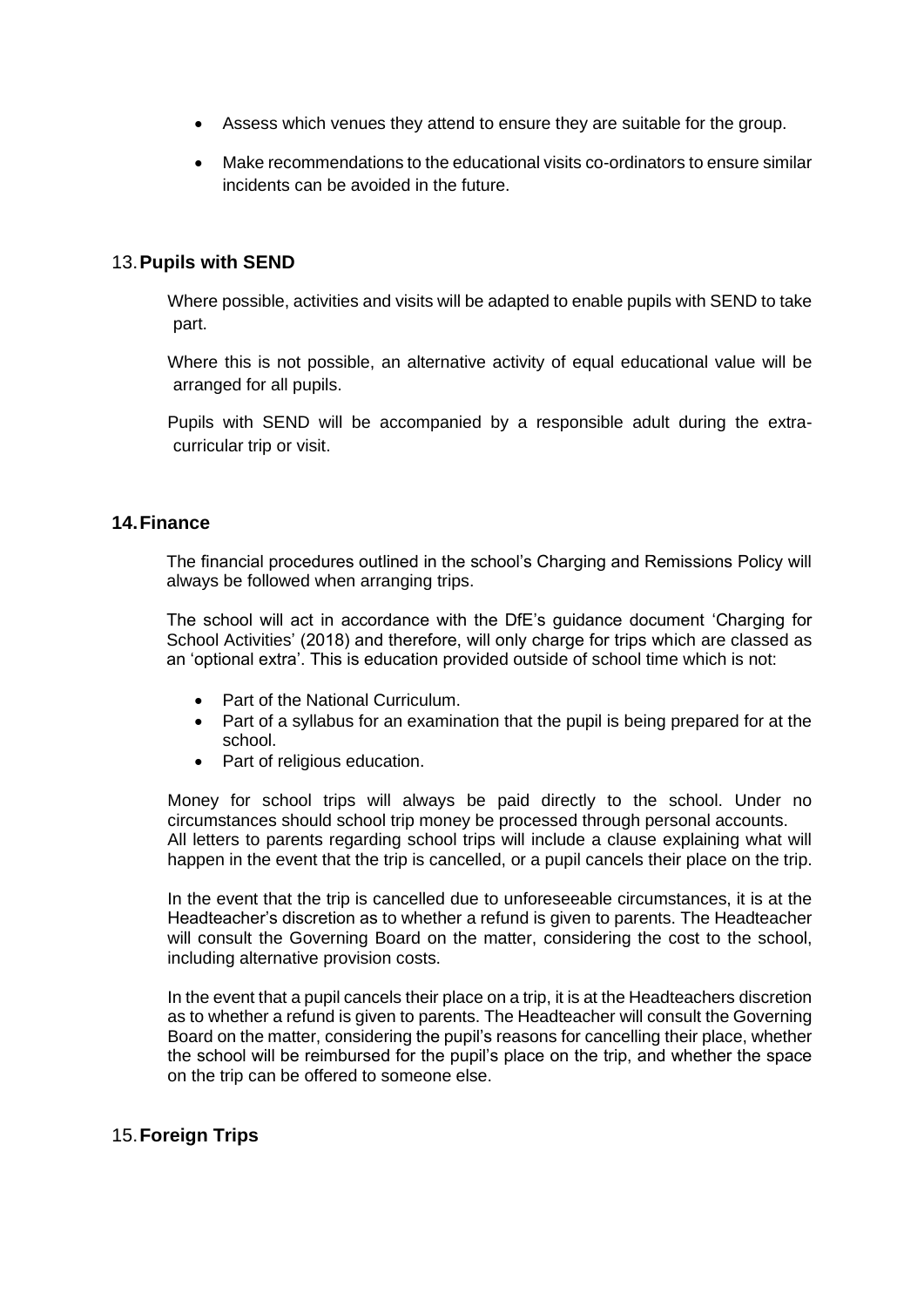- Assess which venues they attend to ensure they are suitable for the group.
- Make recommendations to the educational visits co-ordinators to ensure similar incidents can be avoided in the future.

#### 13.**Pupils with SEND**

Where possible, activities and visits will be adapted to enable pupils with SEND to take part.

Where this is not possible, an alternative activity of equal educational value will be arranged for all pupils.

Pupils with SEND will be accompanied by a responsible adult during the extracurricular trip or visit.

#### **14.Finance**

The financial procedures outlined in the school's Charging and Remissions Policy will always be followed when arranging trips.

The school will act in accordance with the DfE's guidance document 'Charging for School Activities' (2018) and therefore, will only charge for trips which are classed as an 'optional extra'. This is education provided outside of school time which is not:

- Part of the National Curriculum.
- Part of a syllabus for an examination that the pupil is being prepared for at the school.
- Part of religious education.

Money for school trips will always be paid directly to the school. Under no circumstances should school trip money be processed through personal accounts. All letters to parents regarding school trips will include a clause explaining what will happen in the event that the trip is cancelled, or a pupil cancels their place on the trip.

In the event that the trip is cancelled due to unforeseeable circumstances, it is at the Headteacher's discretion as to whether a refund is given to parents. The Headteacher will consult the Governing Board on the matter, considering the cost to the school, including alternative provision costs.

In the event that a pupil cancels their place on a trip, it is at the Headteachers discretion as to whether a refund is given to parents. The Headteacher will consult the Governing Board on the matter, considering the pupil's reasons for cancelling their place, whether the school will be reimbursed for the pupil's place on the trip, and whether the space on the trip can be offered to someone else.

#### 15.**Foreign Trips**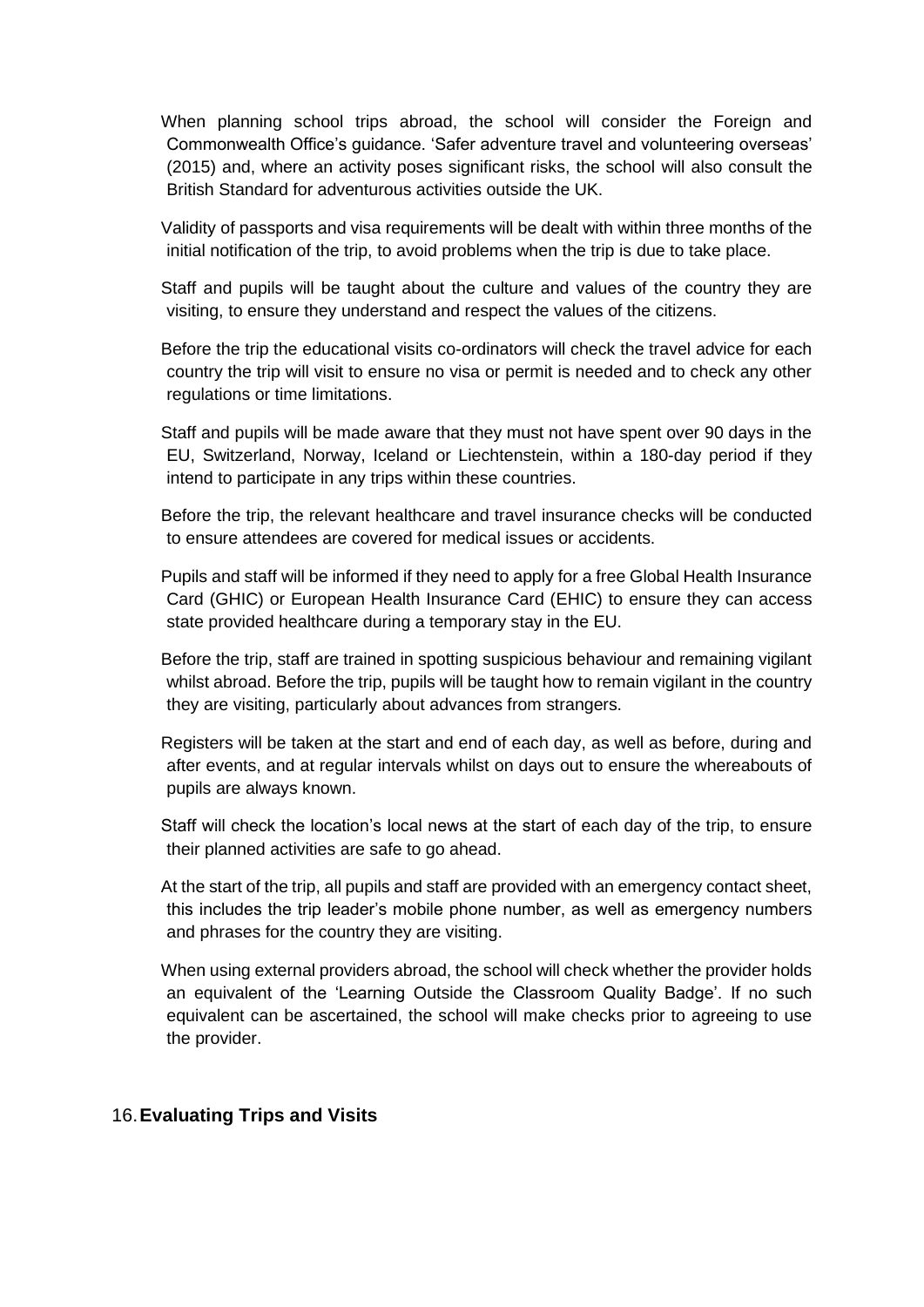When planning school trips abroad, the school will consider the Foreign and Commonwealth Office's guidance. 'Safer adventure travel and volunteering overseas' (2015) and, where an activity poses significant risks, the school will also consult the British Standard for adventurous activities outside the UK.

Validity of passports and visa requirements will be dealt with within three months of the initial notification of the trip, to avoid problems when the trip is due to take place.

Staff and pupils will be taught about the culture and values of the country they are visiting, to ensure they understand and respect the values of the citizens.

Before the trip the educational visits co-ordinators will check the travel advice for each country the trip will visit to ensure no visa or permit is needed and to check any other regulations or time limitations.

Staff and pupils will be made aware that they must not have spent over 90 days in the EU, Switzerland, Norway, Iceland or Liechtenstein, within a 180-day period if they intend to participate in any trips within these countries.

Before the trip, the relevant healthcare and travel insurance checks will be conducted to ensure attendees are covered for medical issues or accidents.

Pupils and staff will be informed if they need to apply for a free Global Health Insurance Card (GHIC) or European Health Insurance Card (EHIC) to ensure they can access state provided healthcare during a temporary stay in the EU.

Before the trip, staff are trained in spotting suspicious behaviour and remaining vigilant whilst abroad. Before the trip, pupils will be taught how to remain vigilant in the country they are visiting, particularly about advances from strangers.

Registers will be taken at the start and end of each day, as well as before, during and after events, and at regular intervals whilst on days out to ensure the whereabouts of pupils are always known.

Staff will check the location's local news at the start of each day of the trip, to ensure their planned activities are safe to go ahead.

At the start of the trip, all pupils and staff are provided with an emergency contact sheet, this includes the trip leader's mobile phone number, as well as emergency numbers and phrases for the country they are visiting.

When using external providers abroad, the school will check whether the provider holds an equivalent of the 'Learning Outside the Classroom Quality Badge'. If no such equivalent can be ascertained, the school will make checks prior to agreeing to use the provider.

#### 16.**Evaluating Trips and Visits**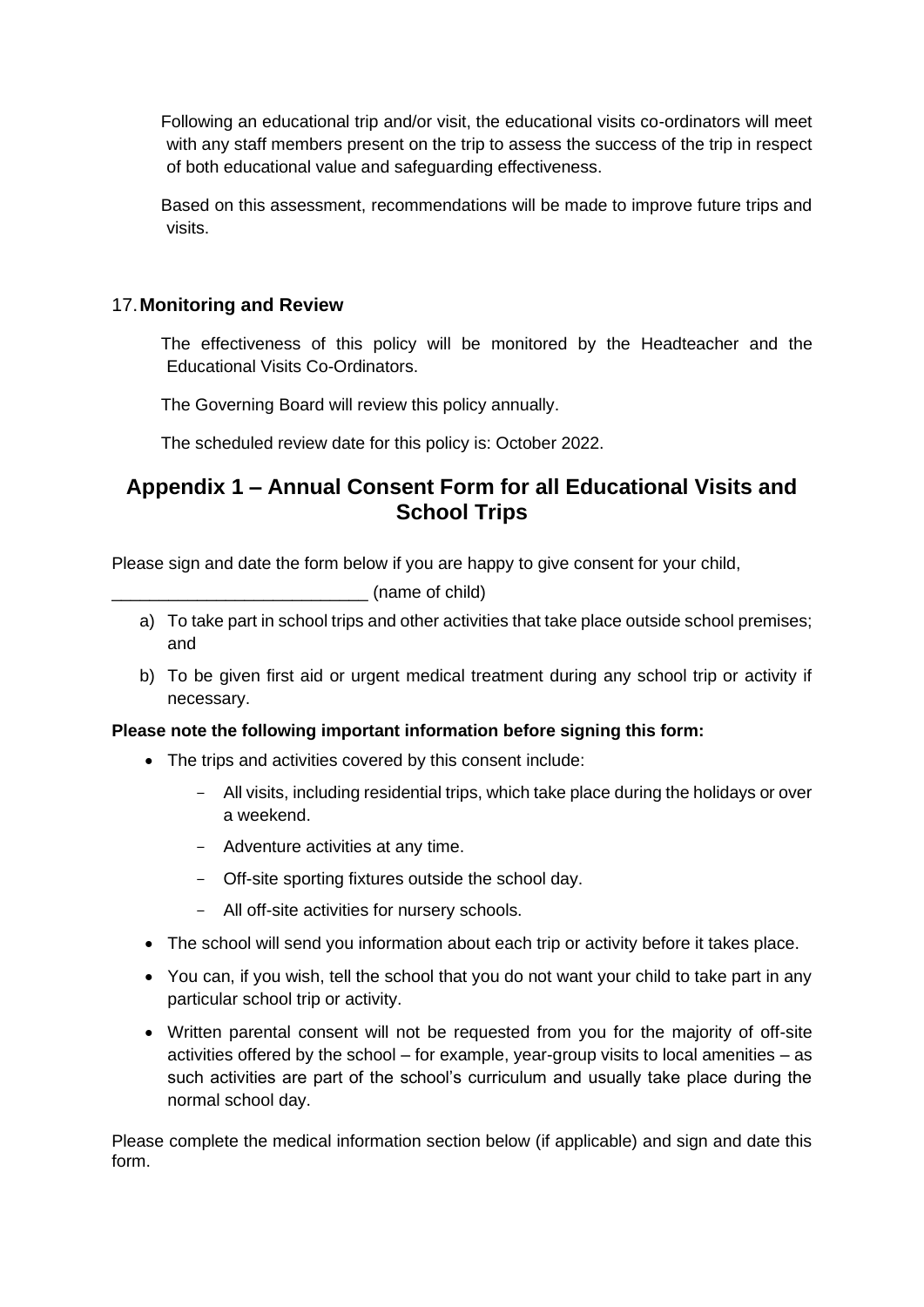Following an educational trip and/or visit, the educational visits co-ordinators will meet with any staff members present on the trip to assess the success of the trip in respect of both educational value and safeguarding effectiveness.

Based on this assessment, recommendations will be made to improve future trips and visits.

#### 17.**Monitoring and Review**

The effectiveness of this policy will be monitored by the Headteacher and the Educational Visits Co-Ordinators.

The Governing Board will review this policy annually.

The scheduled review date for this policy is: October 2022.

### **Appendix 1 – Annual Consent Form for all Educational Visits and School Trips**

Please sign and date the form below if you are happy to give consent for your child,

\_\_\_\_\_\_\_\_\_\_\_\_\_\_\_\_\_\_\_\_\_\_\_\_\_\_\_ (name of child)

- a) To take part in school trips and other activities that take place outside school premises; and
- b) To be given first aid or urgent medical treatment during any school trip or activity if necessary.

#### **Please note the following important information before signing this form:**

- The trips and activities covered by this consent include:
	- All visits, including residential trips, which take place during the holidays or over a weekend.
	- Adventure activities at any time.
	- Off-site sporting fixtures outside the school day.
	- All off-site activities for nursery schools.
- The school will send you information about each trip or activity before it takes place.
- You can, if you wish, tell the school that you do not want your child to take part in any particular school trip or activity.
- Written parental consent will not be requested from you for the majority of off-site activities offered by the school – for example, year-group visits to local amenities – as such activities are part of the school's curriculum and usually take place during the normal school day.

Please complete the medical information section below (if applicable) and sign and date this form.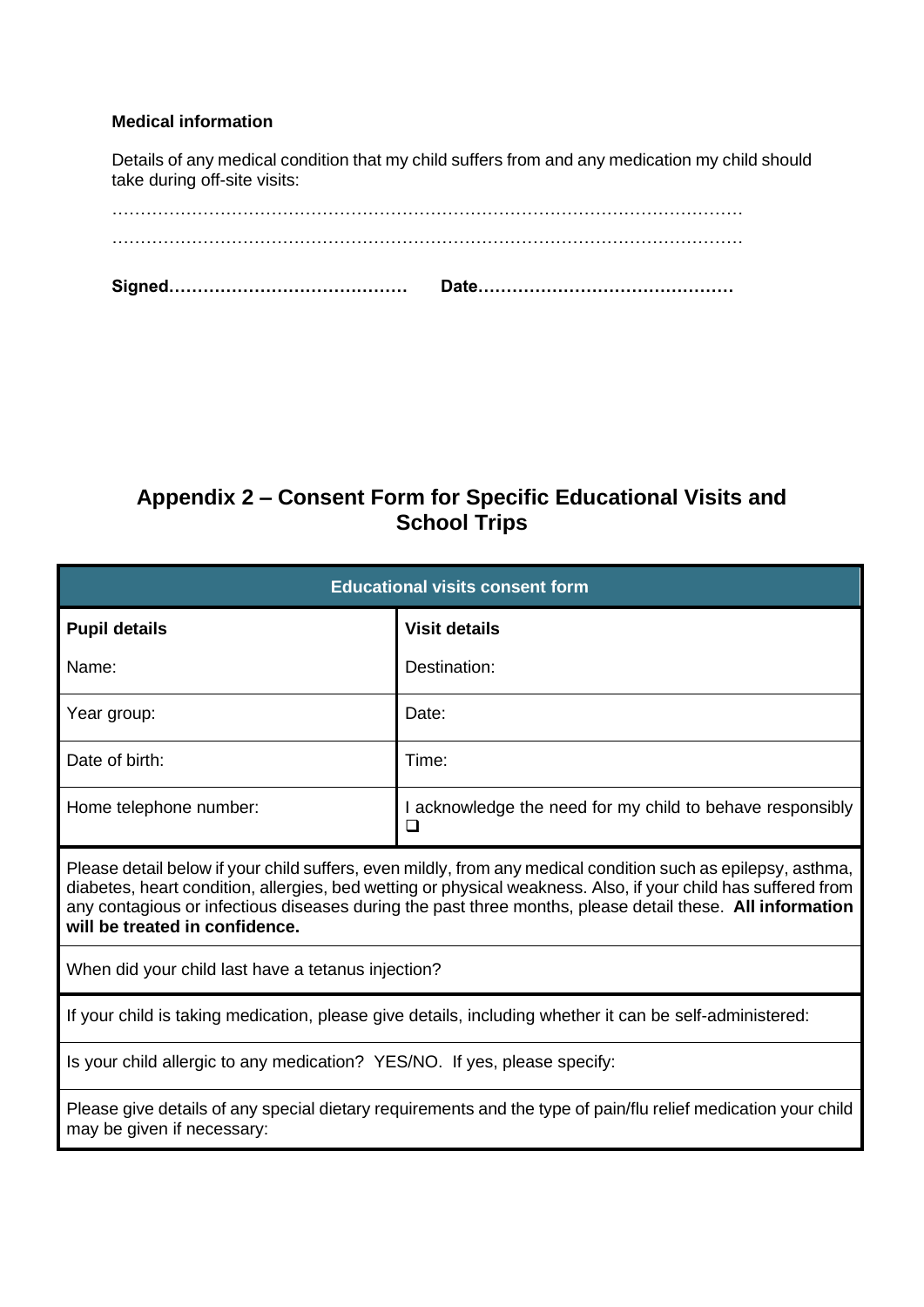#### **Medical information**

Details of any medical condition that my child suffers from and any medication my child should take during off-site visits:

### **Appendix 2 – Consent Form for Specific Educational Visits and School Trips**

| <b>Educational visits consent form</b>                                                                                                                                                                                                                                                                                                                                      |                                                                |  |
|-----------------------------------------------------------------------------------------------------------------------------------------------------------------------------------------------------------------------------------------------------------------------------------------------------------------------------------------------------------------------------|----------------------------------------------------------------|--|
| <b>Pupil details</b>                                                                                                                                                                                                                                                                                                                                                        | <b>Visit details</b>                                           |  |
| Name:                                                                                                                                                                                                                                                                                                                                                                       | Destination:                                                   |  |
| Year group:                                                                                                                                                                                                                                                                                                                                                                 | Date:                                                          |  |
| Date of birth:                                                                                                                                                                                                                                                                                                                                                              | Time:                                                          |  |
| Home telephone number:                                                                                                                                                                                                                                                                                                                                                      | I acknowledge the need for my child to behave responsibly<br>□ |  |
| Please detail below if your child suffers, even mildly, from any medical condition such as epilepsy, asthma,<br>diabetes, heart condition, allergies, bed wetting or physical weakness. Also, if your child has suffered from<br>any contagious or infectious diseases during the past three months, please detail these. All information<br>will be treated in confidence. |                                                                |  |
| When did your child last have a tetanus injection?                                                                                                                                                                                                                                                                                                                          |                                                                |  |
| If your child is taking medication, please give details, including whether it can be self-administered:                                                                                                                                                                                                                                                                     |                                                                |  |
| Is your child allergic to any medication? YES/NO. If yes, please specify:                                                                                                                                                                                                                                                                                                   |                                                                |  |
| Please give details of any special dietary requirements and the type of pain/flu relief medication your child<br>may be given if necessary:                                                                                                                                                                                                                                 |                                                                |  |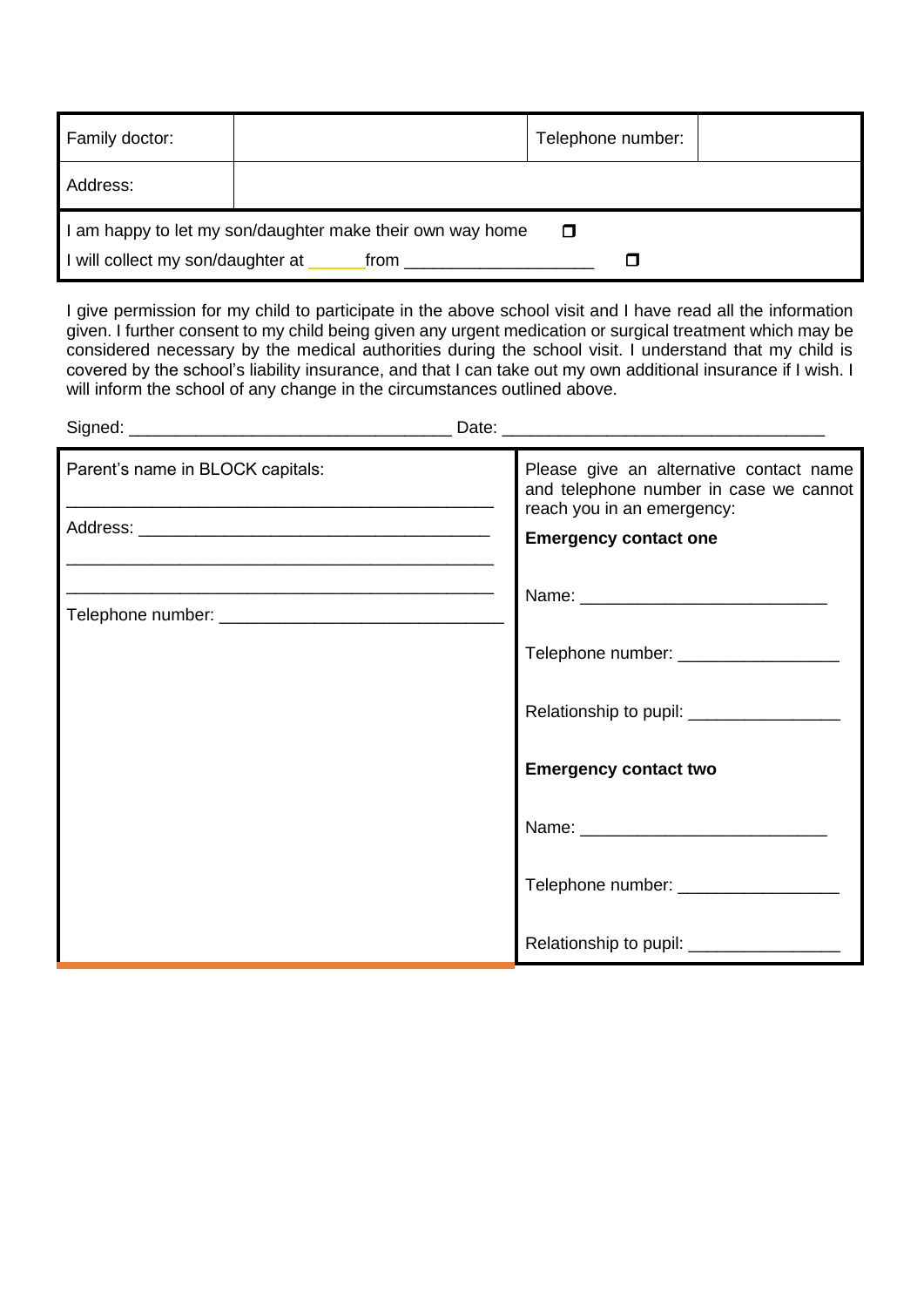| Family doctor:                  |                                                                 | Telephone number: |  |
|---------------------------------|-----------------------------------------------------------------|-------------------|--|
| Address:                        |                                                                 |                   |  |
| will collect my son/daughter at | am happy to let my son/daughter make their own way home<br>from | □                 |  |

I give permission for my child to participate in the above school visit and I have read all the information given. I further consent to my child being given any urgent medication or surgical treatment which may be considered necessary by the medical authorities during the school visit. I understand that my child is covered by the school's liability insurance, and that I can take out my own additional insurance if I wish. I will inform the school of any change in the circumstances outlined above.

| Parent's name in BLOCK capitals: | Please give an alternative contact name<br>and telephone number in case we cannot<br>reach you in an emergency:<br><b>Emergency contact one</b> |
|----------------------------------|-------------------------------------------------------------------------------------------------------------------------------------------------|
|                                  |                                                                                                                                                 |
|                                  | Telephone number: ________________                                                                                                              |
|                                  | Relationship to pupil: ____________                                                                                                             |
|                                  | <b>Emergency contact two</b>                                                                                                                    |
|                                  |                                                                                                                                                 |
|                                  | Telephone number: _____________                                                                                                                 |
|                                  | Relationship to pupil: ___________________                                                                                                      |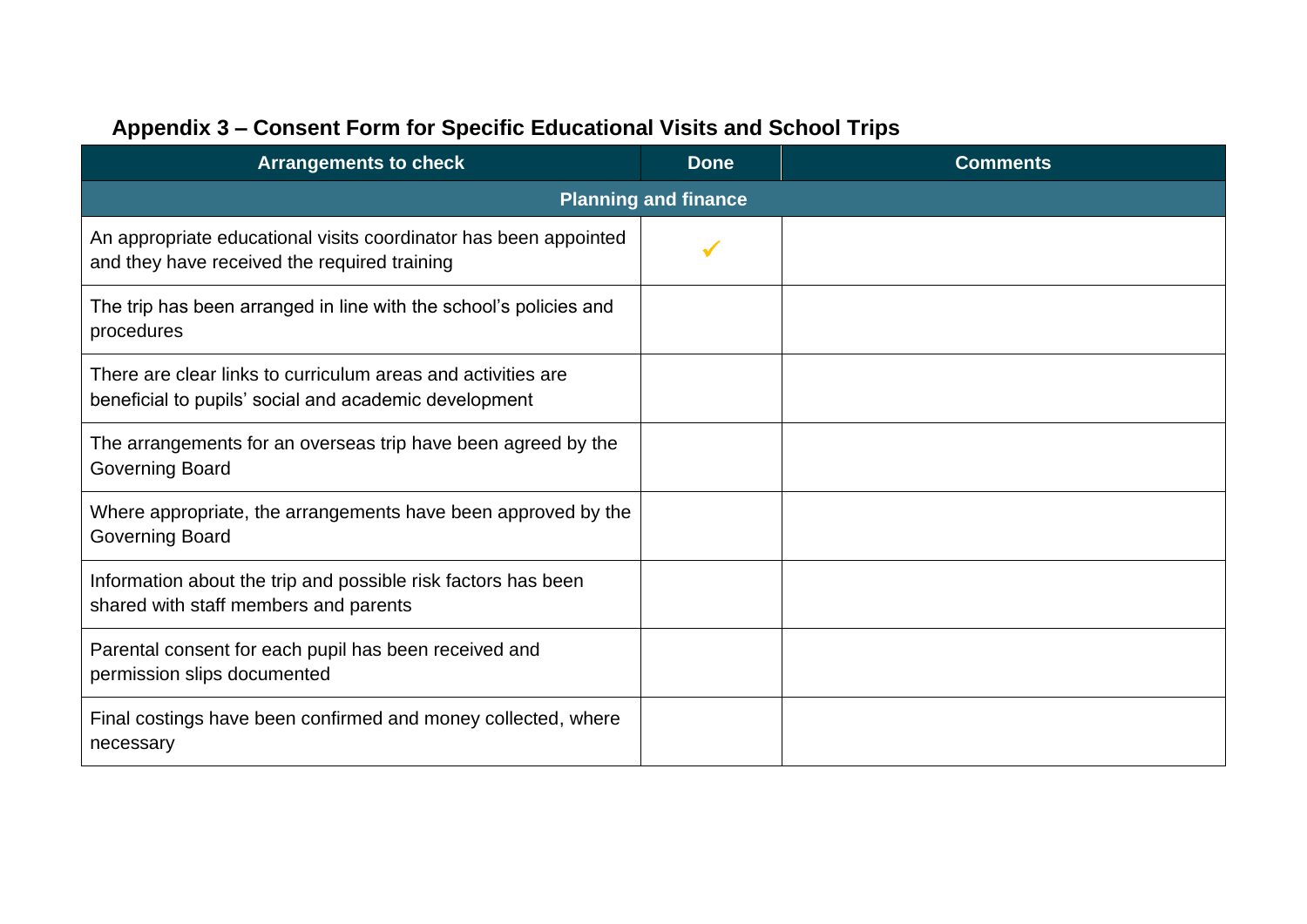| <b>Arrangements to check</b>                                                                                          | <b>Done</b> | <b>Comments</b> |  |
|-----------------------------------------------------------------------------------------------------------------------|-------------|-----------------|--|
| <b>Planning and finance</b>                                                                                           |             |                 |  |
| An appropriate educational visits coordinator has been appointed<br>and they have received the required training      |             |                 |  |
| The trip has been arranged in line with the school's policies and<br>procedures                                       |             |                 |  |
| There are clear links to curriculum areas and activities are<br>beneficial to pupils' social and academic development |             |                 |  |
| The arrangements for an overseas trip have been agreed by the<br><b>Governing Board</b>                               |             |                 |  |
| Where appropriate, the arrangements have been approved by the<br><b>Governing Board</b>                               |             |                 |  |
| Information about the trip and possible risk factors has been<br>shared with staff members and parents                |             |                 |  |
| Parental consent for each pupil has been received and<br>permission slips documented                                  |             |                 |  |
| Final costings have been confirmed and money collected, where<br>necessary                                            |             |                 |  |

## **Appendix 3 – Consent Form for Specific Educational Visits and School Trips**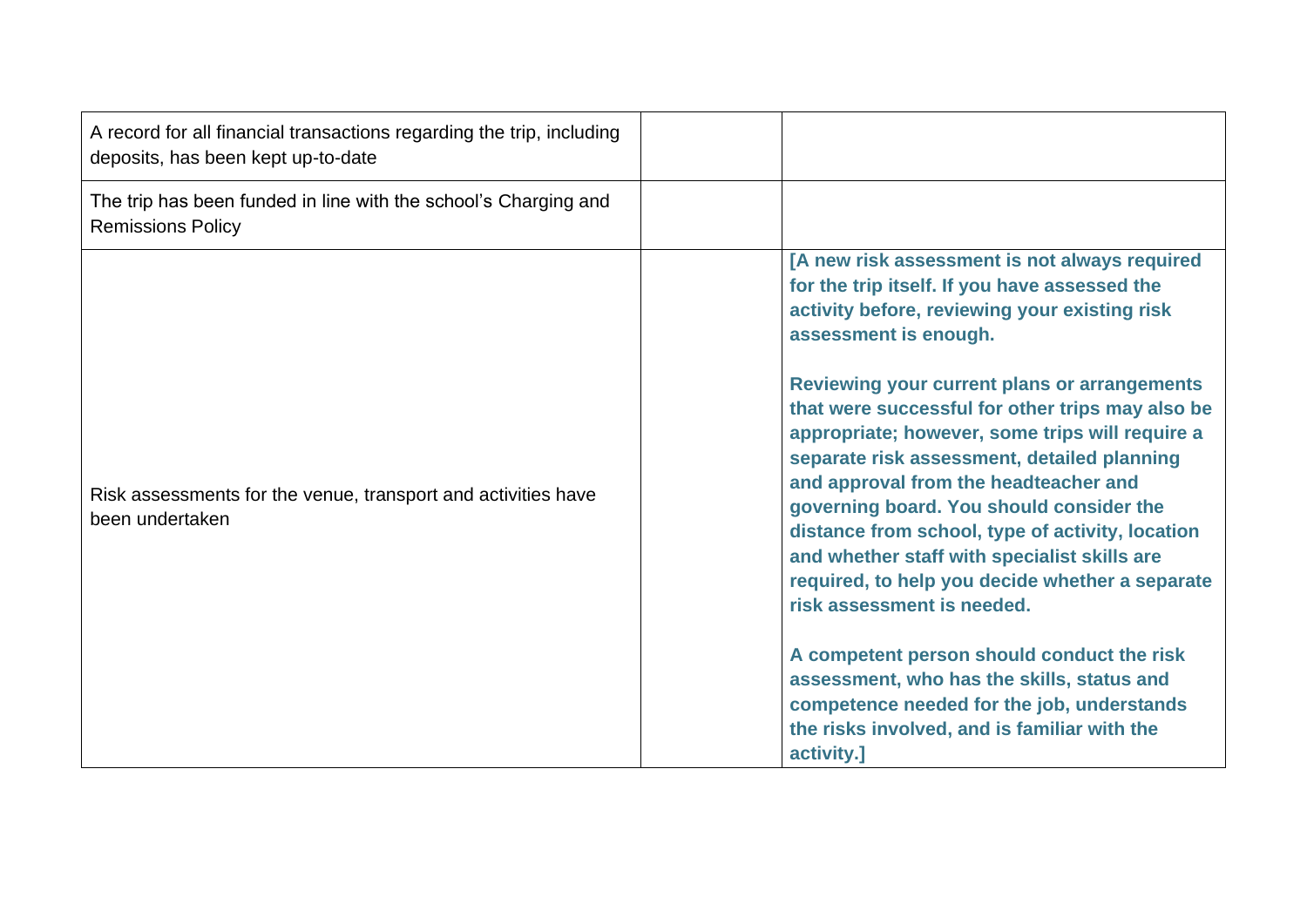| A record for all financial transactions regarding the trip, including<br>deposits, has been kept up-to-date |                                                                                                                                                                                                                                                                                                                                                                                                                                                                                                                                                                                                                                                                                                                                                                                                           |
|-------------------------------------------------------------------------------------------------------------|-----------------------------------------------------------------------------------------------------------------------------------------------------------------------------------------------------------------------------------------------------------------------------------------------------------------------------------------------------------------------------------------------------------------------------------------------------------------------------------------------------------------------------------------------------------------------------------------------------------------------------------------------------------------------------------------------------------------------------------------------------------------------------------------------------------|
| The trip has been funded in line with the school's Charging and<br><b>Remissions Policy</b>                 |                                                                                                                                                                                                                                                                                                                                                                                                                                                                                                                                                                                                                                                                                                                                                                                                           |
| Risk assessments for the venue, transport and activities have<br>been undertaken                            | [A new risk assessment is not always required<br>for the trip itself. If you have assessed the<br>activity before, reviewing your existing risk<br>assessment is enough.<br><b>Reviewing your current plans or arrangements</b><br>that were successful for other trips may also be<br>appropriate; however, some trips will require a<br>separate risk assessment, detailed planning<br>and approval from the headteacher and<br>governing board. You should consider the<br>distance from school, type of activity, location<br>and whether staff with specialist skills are<br>required, to help you decide whether a separate<br>risk assessment is needed.<br>A competent person should conduct the risk<br>assessment, who has the skills, status and<br>competence needed for the job, understands |
|                                                                                                             | the risks involved, and is familiar with the<br>activity.]                                                                                                                                                                                                                                                                                                                                                                                                                                                                                                                                                                                                                                                                                                                                                |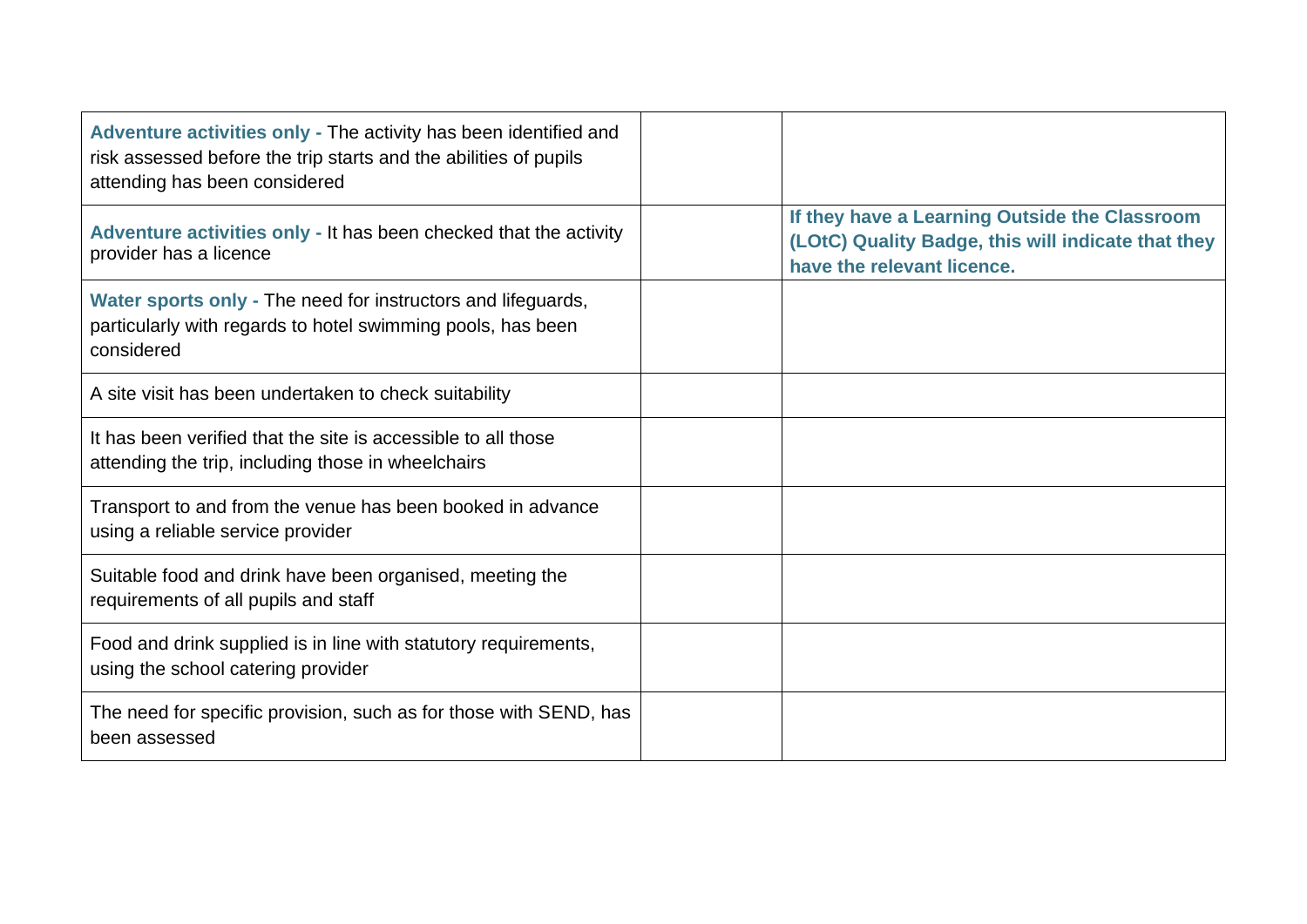| Adventure activities only - The activity has been identified and<br>risk assessed before the trip starts and the abilities of pupils<br>attending has been considered |                                                                                                                                   |
|-----------------------------------------------------------------------------------------------------------------------------------------------------------------------|-----------------------------------------------------------------------------------------------------------------------------------|
| Adventure activities only - It has been checked that the activity<br>provider has a licence                                                                           | If they have a Learning Outside the Classroom<br>(LOtC) Quality Badge, this will indicate that they<br>have the relevant licence. |
| Water sports only - The need for instructors and lifeguards,<br>particularly with regards to hotel swimming pools, has been<br>considered                             |                                                                                                                                   |
| A site visit has been undertaken to check suitability                                                                                                                 |                                                                                                                                   |
| It has been verified that the site is accessible to all those<br>attending the trip, including those in wheelchairs                                                   |                                                                                                                                   |
| Transport to and from the venue has been booked in advance<br>using a reliable service provider                                                                       |                                                                                                                                   |
| Suitable food and drink have been organised, meeting the<br>requirements of all pupils and staff                                                                      |                                                                                                                                   |
| Food and drink supplied is in line with statutory requirements,<br>using the school catering provider                                                                 |                                                                                                                                   |
| The need for specific provision, such as for those with SEND, has<br>been assessed                                                                                    |                                                                                                                                   |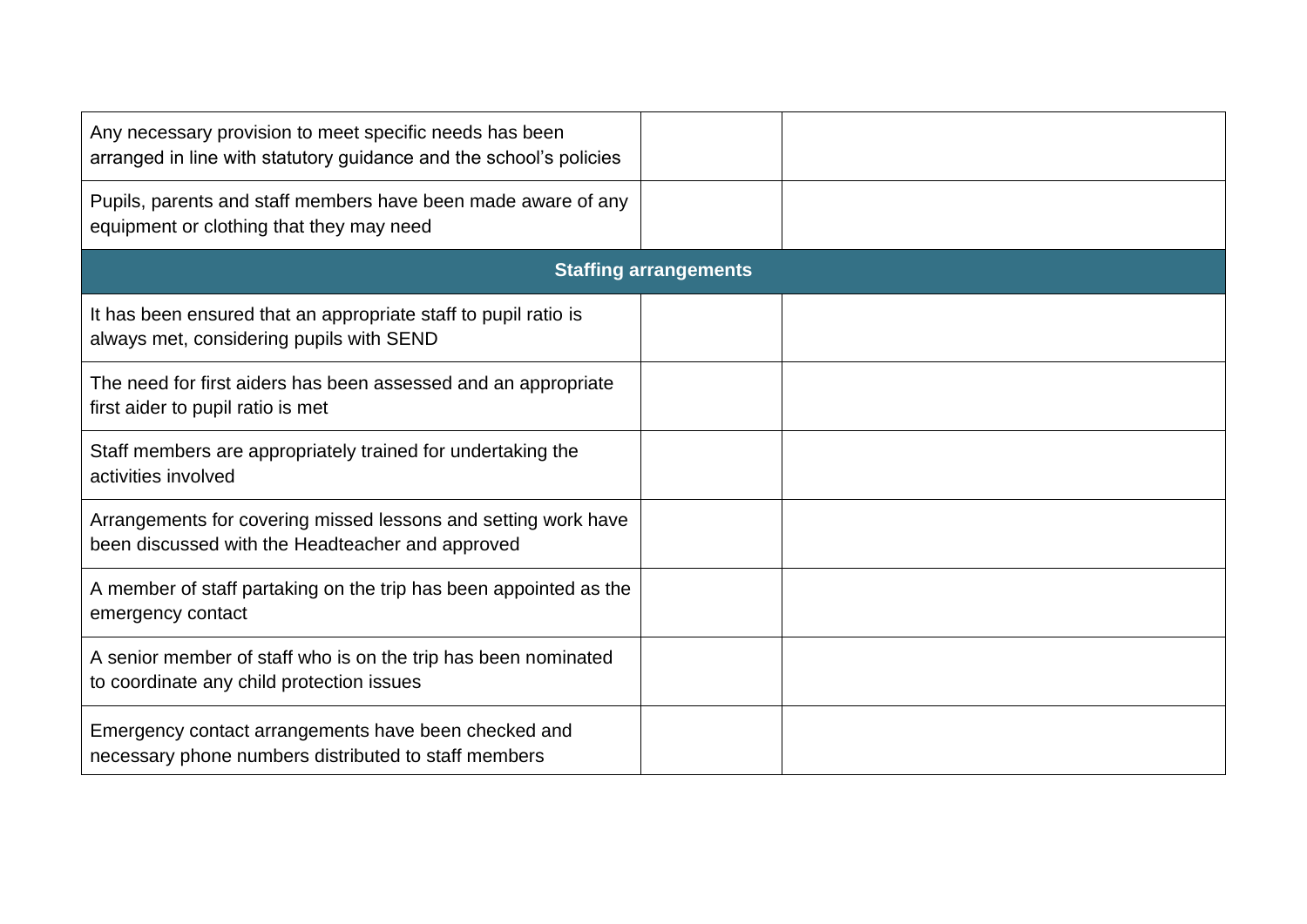| Any necessary provision to meet specific needs has been<br>arranged in line with statutory guidance and the school's policies |                              |  |
|-------------------------------------------------------------------------------------------------------------------------------|------------------------------|--|
| Pupils, parents and staff members have been made aware of any<br>equipment or clothing that they may need                     |                              |  |
|                                                                                                                               | <b>Staffing arrangements</b> |  |
| It has been ensured that an appropriate staff to pupil ratio is<br>always met, considering pupils with SEND                   |                              |  |
| The need for first aiders has been assessed and an appropriate<br>first aider to pupil ratio is met                           |                              |  |
| Staff members are appropriately trained for undertaking the<br>activities involved                                            |                              |  |
| Arrangements for covering missed lessons and setting work have<br>been discussed with the Headteacher and approved            |                              |  |
| A member of staff partaking on the trip has been appointed as the<br>emergency contact                                        |                              |  |
| A senior member of staff who is on the trip has been nominated<br>to coordinate any child protection issues                   |                              |  |
| Emergency contact arrangements have been checked and<br>necessary phone numbers distributed to staff members                  |                              |  |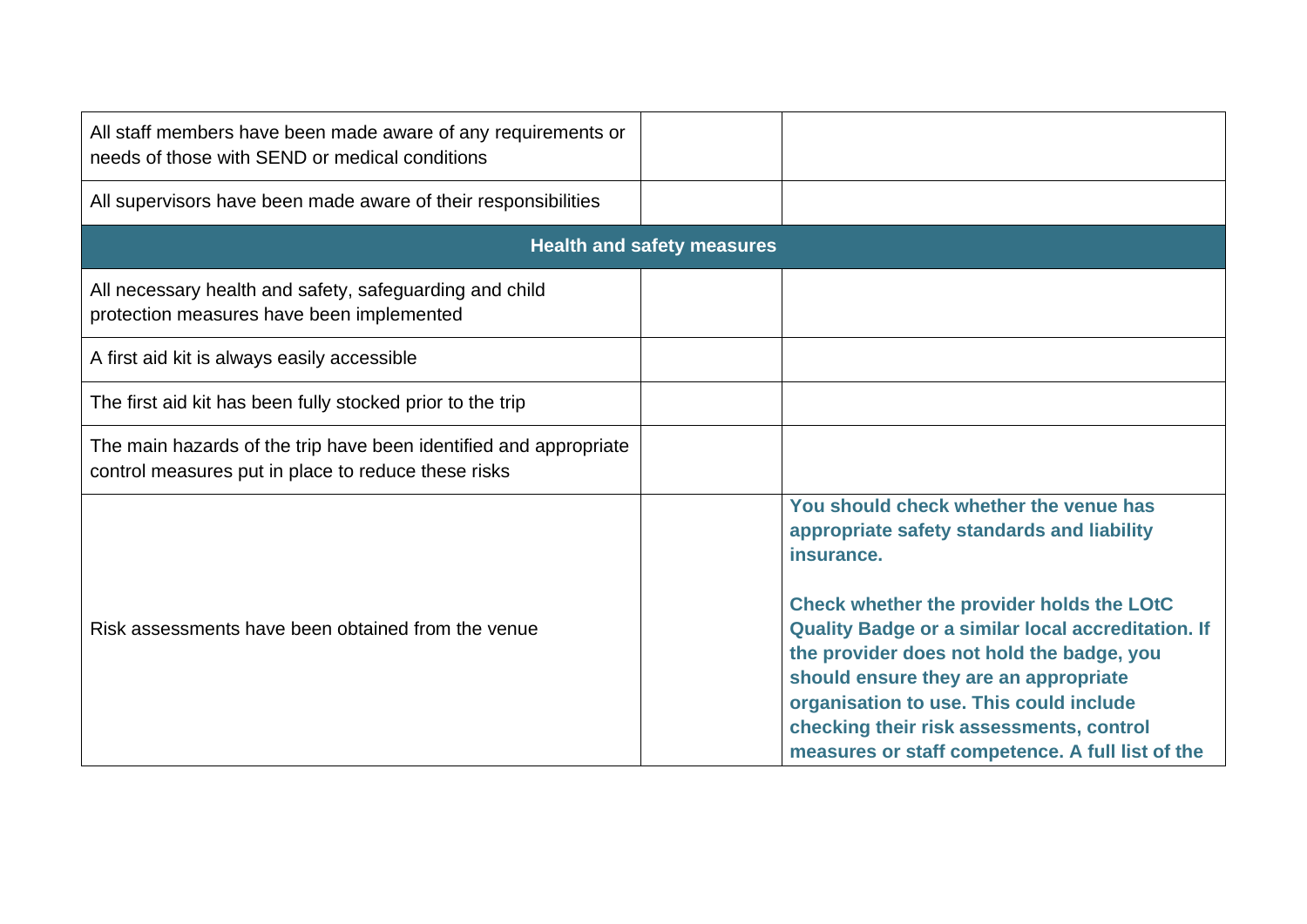| All staff members have been made aware of any requirements or<br>needs of those with SEND or medical conditions          |                                   |                                                                                                                                                                                                                                                                                            |
|--------------------------------------------------------------------------------------------------------------------------|-----------------------------------|--------------------------------------------------------------------------------------------------------------------------------------------------------------------------------------------------------------------------------------------------------------------------------------------|
| All supervisors have been made aware of their responsibilities                                                           |                                   |                                                                                                                                                                                                                                                                                            |
|                                                                                                                          | <b>Health and safety measures</b> |                                                                                                                                                                                                                                                                                            |
| All necessary health and safety, safeguarding and child<br>protection measures have been implemented                     |                                   |                                                                                                                                                                                                                                                                                            |
| A first aid kit is always easily accessible                                                                              |                                   |                                                                                                                                                                                                                                                                                            |
| The first aid kit has been fully stocked prior to the trip                                                               |                                   |                                                                                                                                                                                                                                                                                            |
| The main hazards of the trip have been identified and appropriate<br>control measures put in place to reduce these risks |                                   |                                                                                                                                                                                                                                                                                            |
|                                                                                                                          |                                   | You should check whether the venue has<br>appropriate safety standards and liability<br>insurance.<br>Check whether the provider holds the LOtC                                                                                                                                            |
| Risk assessments have been obtained from the venue                                                                       |                                   | <b>Quality Badge or a similar local accreditation. If</b><br>the provider does not hold the badge, you<br>should ensure they are an appropriate<br>organisation to use. This could include<br>checking their risk assessments, control<br>measures or staff competence. A full list of the |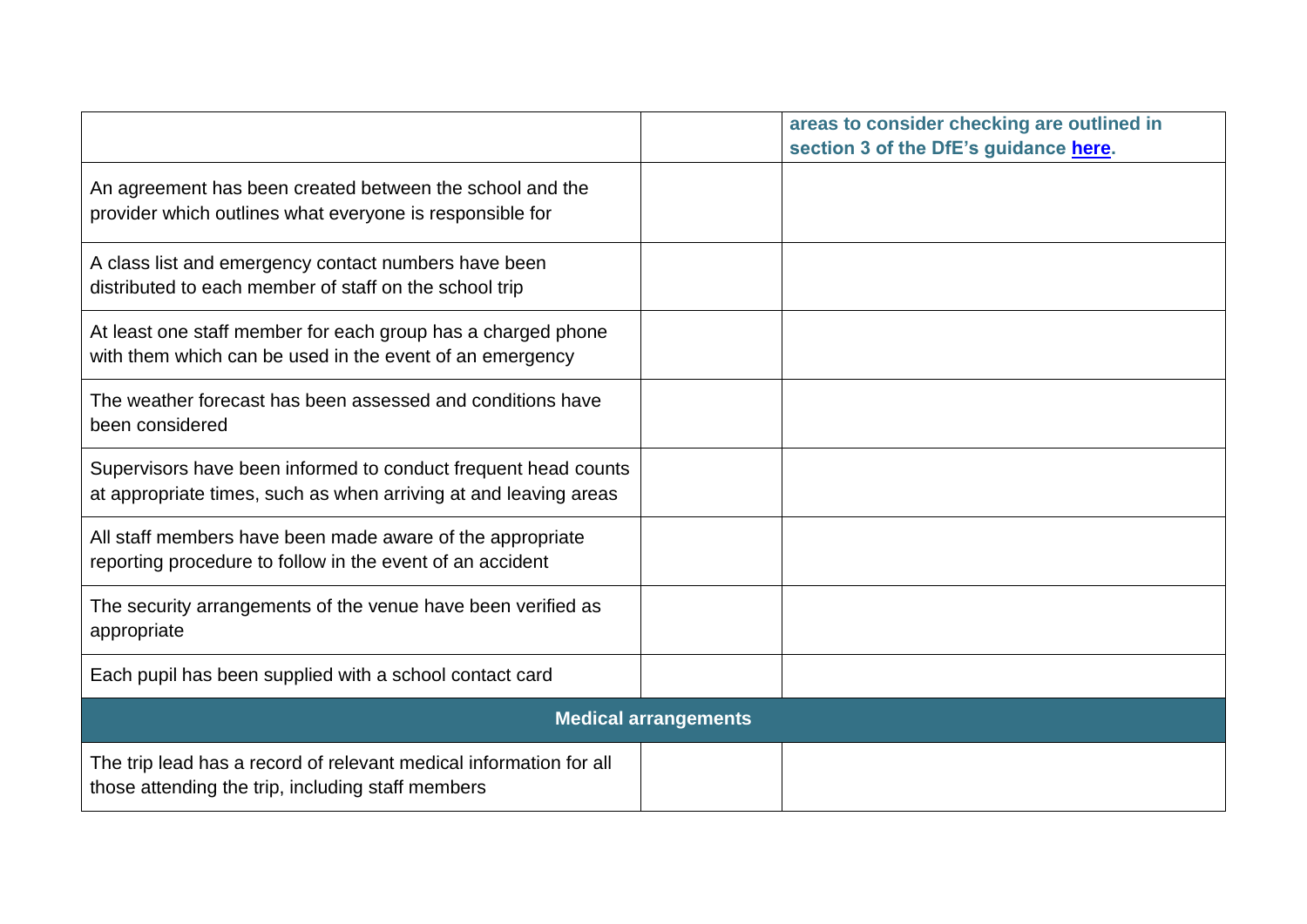|                                                                                                                                    |                             | areas to consider checking are outlined in<br>section 3 of the DfE's guidance here. |
|------------------------------------------------------------------------------------------------------------------------------------|-----------------------------|-------------------------------------------------------------------------------------|
| An agreement has been created between the school and the<br>provider which outlines what everyone is responsible for               |                             |                                                                                     |
| A class list and emergency contact numbers have been<br>distributed to each member of staff on the school trip                     |                             |                                                                                     |
| At least one staff member for each group has a charged phone<br>with them which can be used in the event of an emergency           |                             |                                                                                     |
| The weather forecast has been assessed and conditions have<br>been considered                                                      |                             |                                                                                     |
| Supervisors have been informed to conduct frequent head counts<br>at appropriate times, such as when arriving at and leaving areas |                             |                                                                                     |
| All staff members have been made aware of the appropriate<br>reporting procedure to follow in the event of an accident             |                             |                                                                                     |
| The security arrangements of the venue have been verified as<br>appropriate                                                        |                             |                                                                                     |
| Each pupil has been supplied with a school contact card                                                                            |                             |                                                                                     |
|                                                                                                                                    | <b>Medical arrangements</b> |                                                                                     |
| The trip lead has a record of relevant medical information for all<br>those attending the trip, including staff members            |                             |                                                                                     |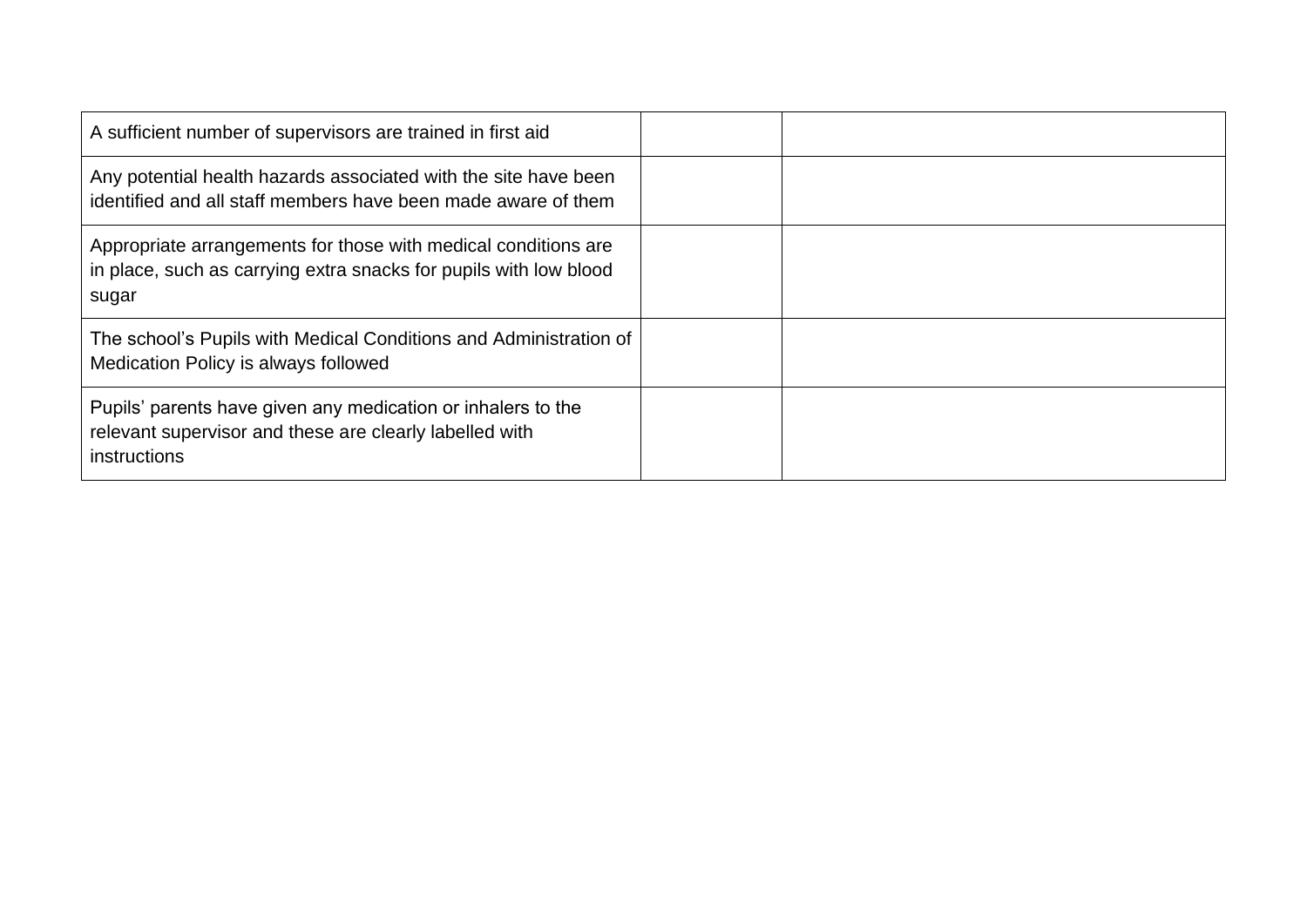| A sufficient number of supervisors are trained in first aid                                                                                  |  |
|----------------------------------------------------------------------------------------------------------------------------------------------|--|
| Any potential health hazards associated with the site have been<br>identified and all staff members have been made aware of them             |  |
| Appropriate arrangements for those with medical conditions are<br>in place, such as carrying extra snacks for pupils with low blood<br>sugar |  |
| The school's Pupils with Medical Conditions and Administration of<br>Medication Policy is always followed                                    |  |
| Pupils' parents have given any medication or inhalers to the<br>relevant supervisor and these are clearly labelled with<br>instructions      |  |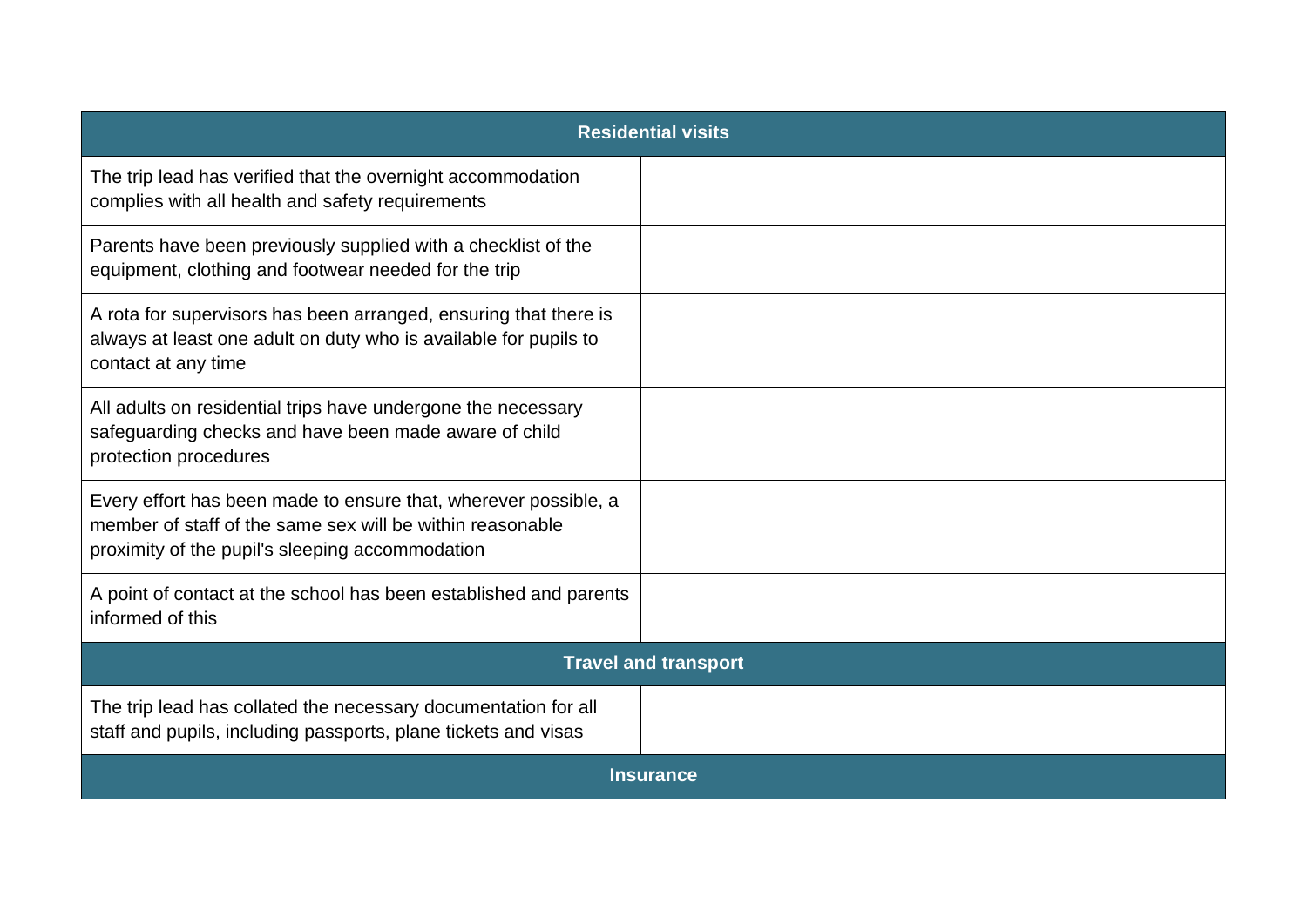| <b>Residential visits</b>                                                                                                                                                       |  |  |
|---------------------------------------------------------------------------------------------------------------------------------------------------------------------------------|--|--|
| The trip lead has verified that the overnight accommodation<br>complies with all health and safety requirements                                                                 |  |  |
| Parents have been previously supplied with a checklist of the<br>equipment, clothing and footwear needed for the trip                                                           |  |  |
| A rota for supervisors has been arranged, ensuring that there is<br>always at least one adult on duty who is available for pupils to<br>contact at any time                     |  |  |
| All adults on residential trips have undergone the necessary<br>safeguarding checks and have been made aware of child<br>protection procedures                                  |  |  |
| Every effort has been made to ensure that, wherever possible, a<br>member of staff of the same sex will be within reasonable<br>proximity of the pupil's sleeping accommodation |  |  |
| A point of contact at the school has been established and parents<br>informed of this                                                                                           |  |  |
| <b>Travel and transport</b>                                                                                                                                                     |  |  |
| The trip lead has collated the necessary documentation for all<br>staff and pupils, including passports, plane tickets and visas                                                |  |  |
| <b>Insurance</b>                                                                                                                                                                |  |  |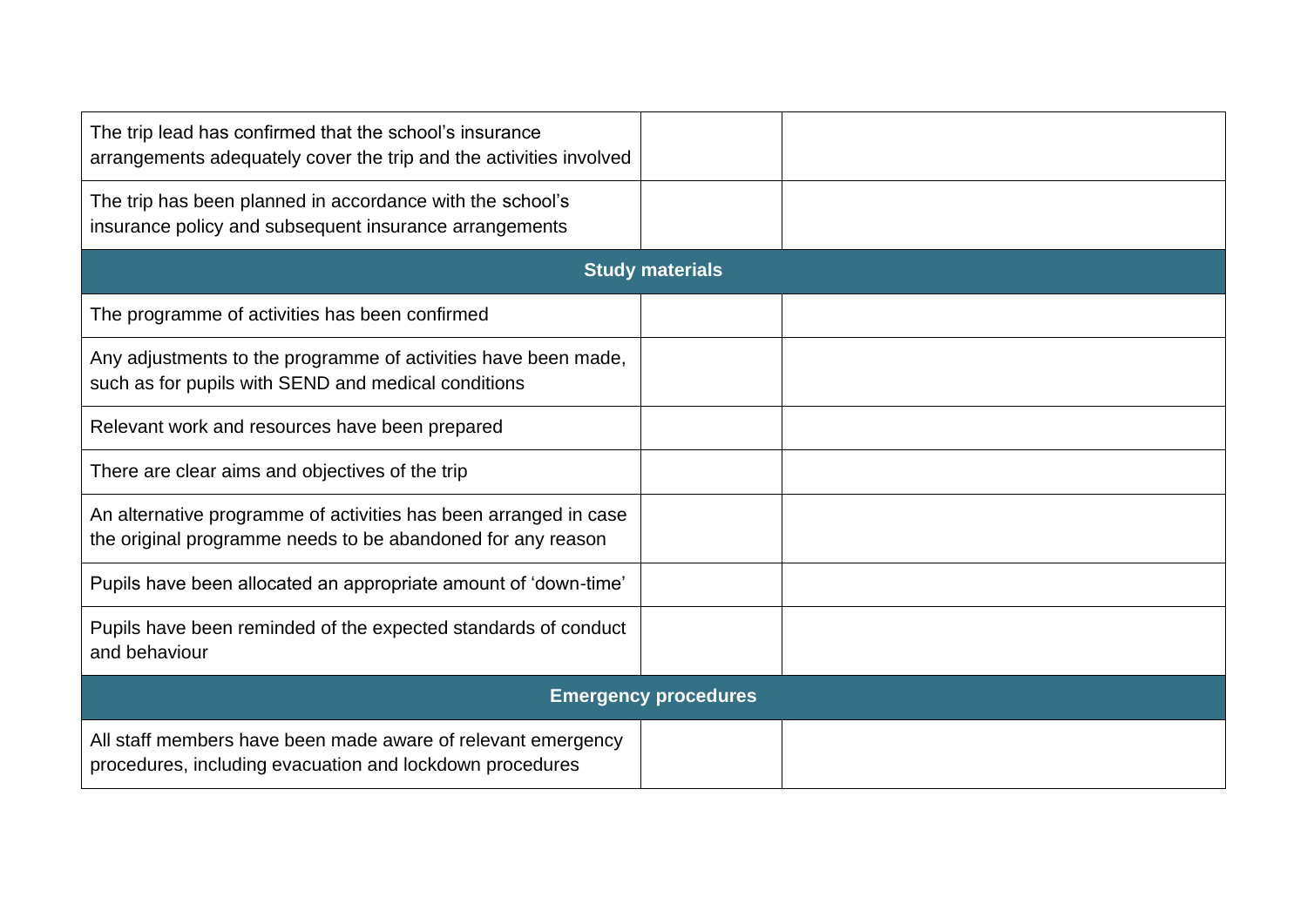| The trip lead has confirmed that the school's insurance<br>arrangements adequately cover the trip and the activities involved   |                        |  |  |  |  |  |  |
|---------------------------------------------------------------------------------------------------------------------------------|------------------------|--|--|--|--|--|--|
| The trip has been planned in accordance with the school's<br>insurance policy and subsequent insurance arrangements             |                        |  |  |  |  |  |  |
|                                                                                                                                 | <b>Study materials</b> |  |  |  |  |  |  |
| The programme of activities has been confirmed                                                                                  |                        |  |  |  |  |  |  |
| Any adjustments to the programme of activities have been made,<br>such as for pupils with SEND and medical conditions           |                        |  |  |  |  |  |  |
| Relevant work and resources have been prepared                                                                                  |                        |  |  |  |  |  |  |
| There are clear aims and objectives of the trip                                                                                 |                        |  |  |  |  |  |  |
| An alternative programme of activities has been arranged in case<br>the original programme needs to be abandoned for any reason |                        |  |  |  |  |  |  |
| Pupils have been allocated an appropriate amount of 'down-time'                                                                 |                        |  |  |  |  |  |  |
| Pupils have been reminded of the expected standards of conduct<br>and behaviour                                                 |                        |  |  |  |  |  |  |
| <b>Emergency procedures</b>                                                                                                     |                        |  |  |  |  |  |  |
| All staff members have been made aware of relevant emergency<br>procedures, including evacuation and lockdown procedures        |                        |  |  |  |  |  |  |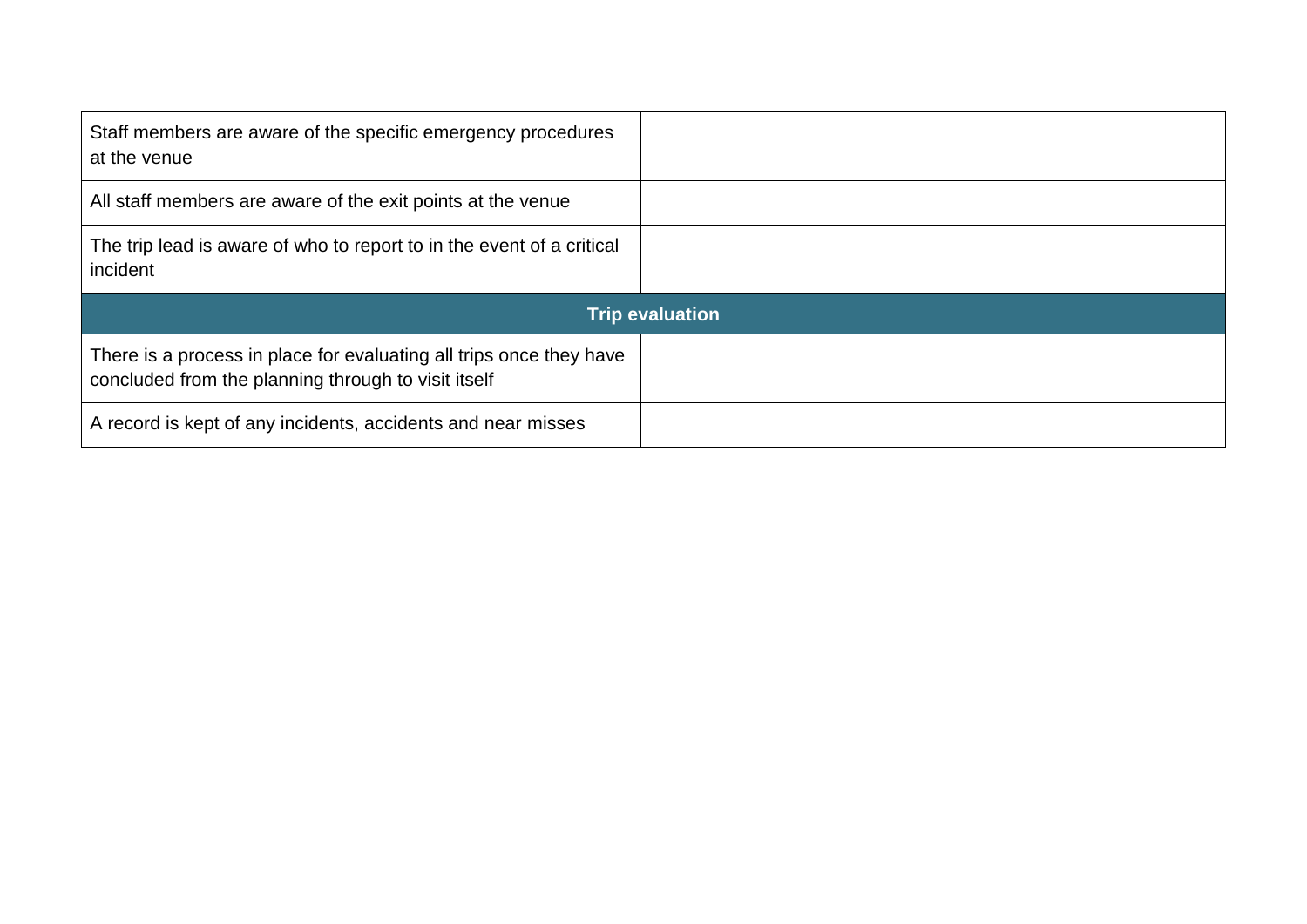| Staff members are aware of the specific emergency procedures<br>at the venue                                               |                        |  |
|----------------------------------------------------------------------------------------------------------------------------|------------------------|--|
| All staff members are aware of the exit points at the venue                                                                |                        |  |
| The trip lead is aware of who to report to in the event of a critical<br>incident                                          |                        |  |
|                                                                                                                            | <b>Trip evaluation</b> |  |
| There is a process in place for evaluating all trips once they have<br>concluded from the planning through to visit itself |                        |  |
|                                                                                                                            |                        |  |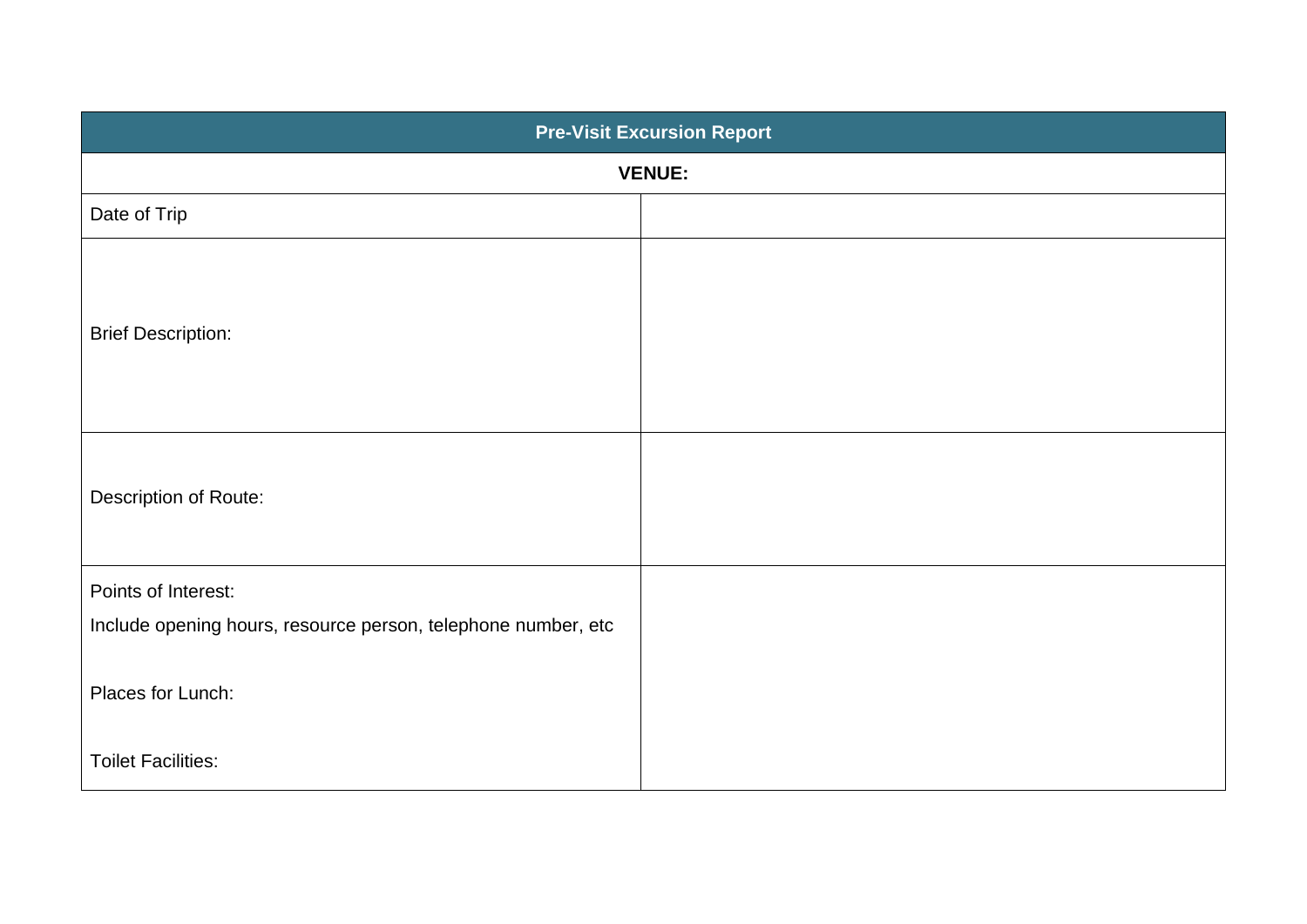| <b>Pre-Visit Excursion Report</b>                             |  |  |  |  |  |  |
|---------------------------------------------------------------|--|--|--|--|--|--|
| <b>VENUE:</b>                                                 |  |  |  |  |  |  |
| Date of Trip                                                  |  |  |  |  |  |  |
| <b>Brief Description:</b>                                     |  |  |  |  |  |  |
| Description of Route:                                         |  |  |  |  |  |  |
| Points of Interest:                                           |  |  |  |  |  |  |
| Include opening hours, resource person, telephone number, etc |  |  |  |  |  |  |
| Places for Lunch:                                             |  |  |  |  |  |  |
| <b>Toilet Facilities:</b>                                     |  |  |  |  |  |  |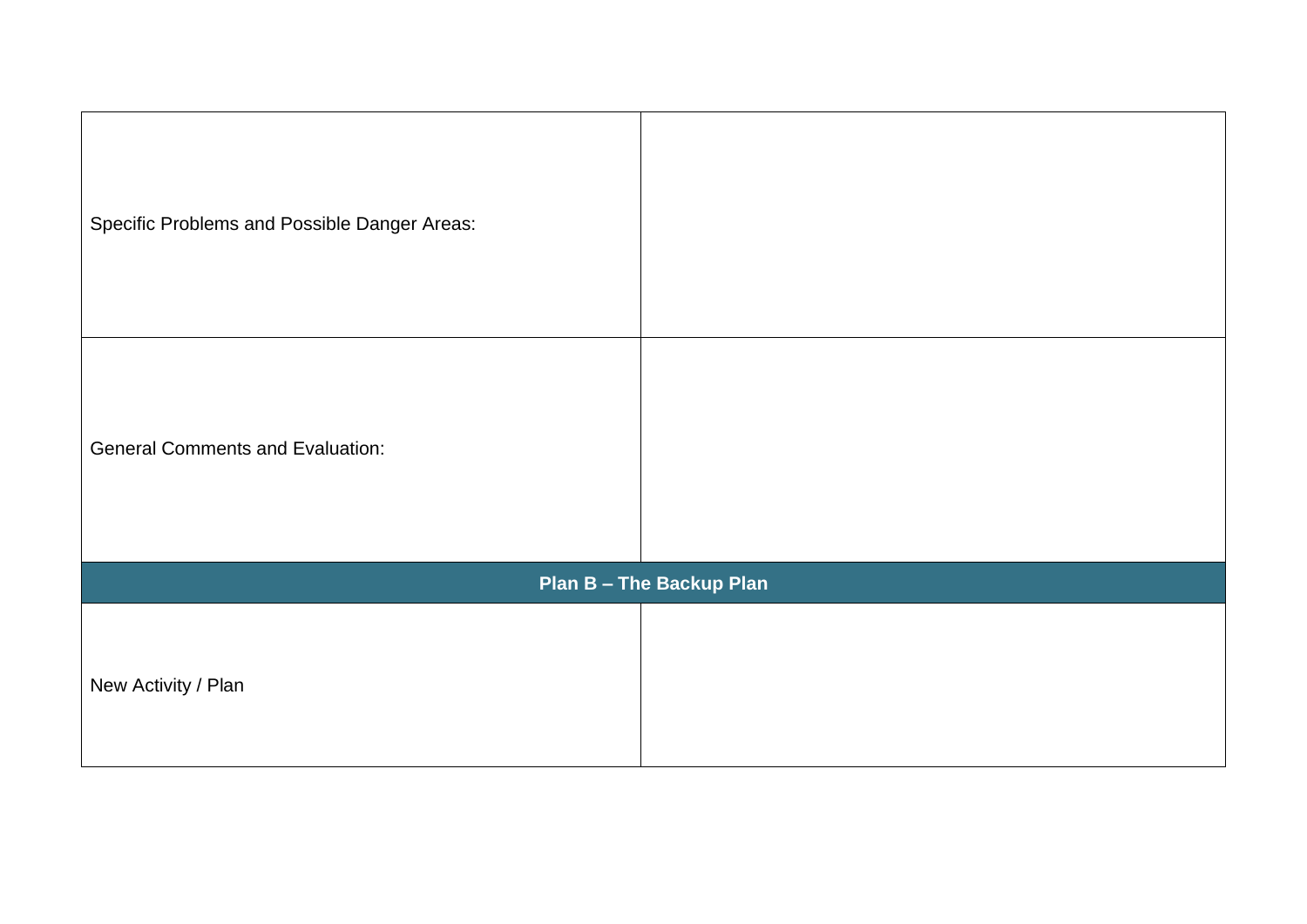| Specific Problems and Possible Danger Areas: |                                 |
|----------------------------------------------|---------------------------------|
| <b>General Comments and Evaluation:</b>      |                                 |
|                                              | <b>Plan B - The Backup Plan</b> |
| New Activity / Plan                          |                                 |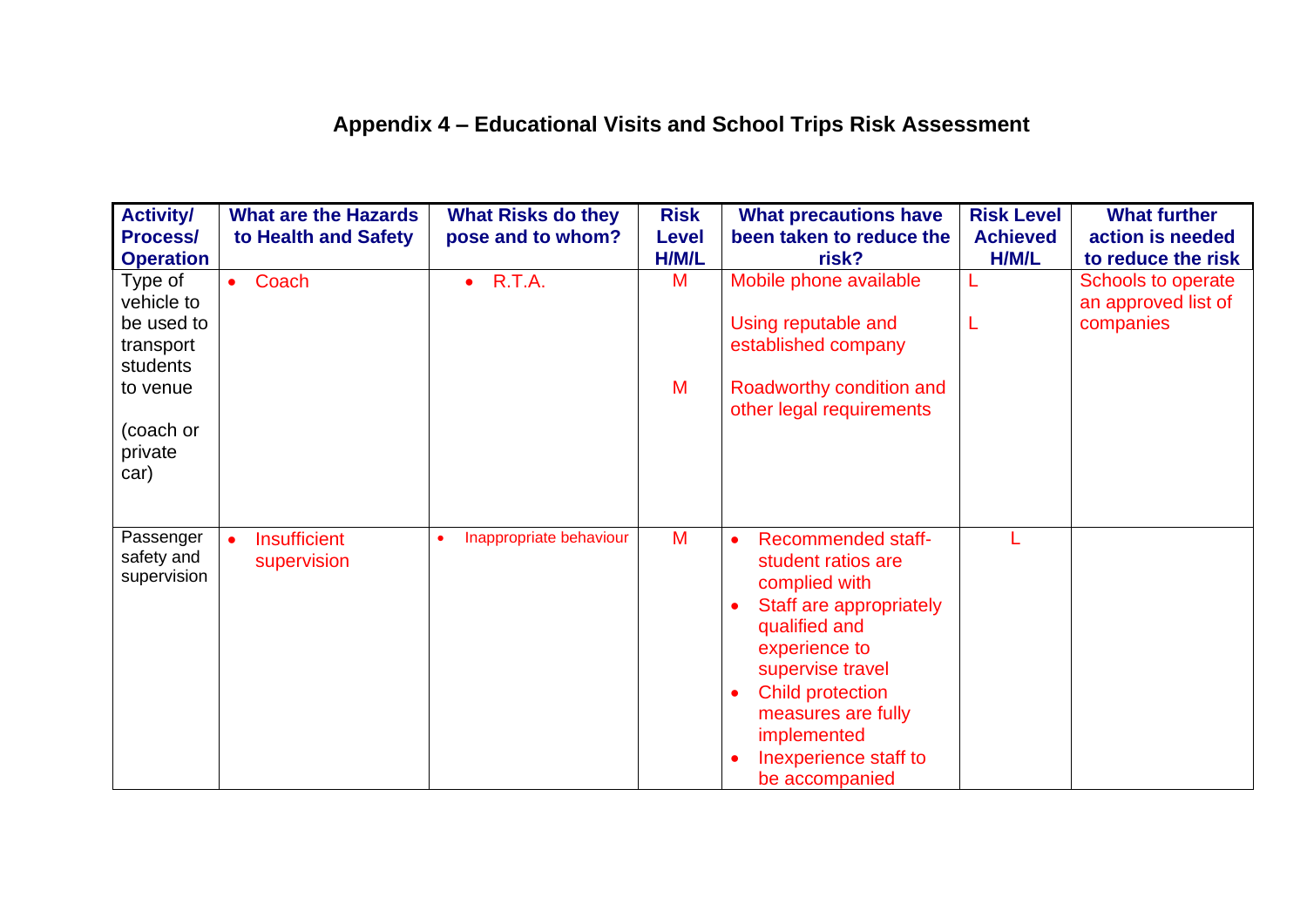# **Appendix 4 – Educational Visits and School Trips Risk Assessment**

| <b>Activity/</b><br><b>Process/</b><br><b>Operation</b>                                          | <b>What are the Hazards</b><br>to Health and Safety | <b>What Risks do they</b><br>pose and to whom? | <b>Risk</b><br><b>Level</b><br>H/M/L | <b>What precautions have</b><br>been taken to reduce the<br>risk?                                                                                                                                                                                                               | <b>Risk Level</b><br><b>Achieved</b><br>H/M/L | <b>What further</b><br>action is needed<br>to reduce the risk |
|--------------------------------------------------------------------------------------------------|-----------------------------------------------------|------------------------------------------------|--------------------------------------|---------------------------------------------------------------------------------------------------------------------------------------------------------------------------------------------------------------------------------------------------------------------------------|-----------------------------------------------|---------------------------------------------------------------|
| Type of<br>vehicle to<br>be used to<br>transport<br>students<br>to venue<br>(coach or<br>private | Coach<br>$\bullet$                                  | R.T.A.<br>$\bullet$                            | M<br>M                               | Mobile phone available<br>Using reputable and<br>established company<br>Roadworthy condition and<br>other legal requirements                                                                                                                                                    | L                                             | Schools to operate<br>an approved list of<br>companies        |
| car)<br>Passenger<br>safety and<br>supervision                                                   | <b>Insufficient</b><br>supervision                  | Inappropriate behaviour                        | M                                    | Recommended staff-<br>student ratios are<br>complied with<br>Staff are appropriately<br>$\bullet$<br>qualified and<br>experience to<br>supervise travel<br><b>Child protection</b><br>$\bullet$<br>measures are fully<br>implemented<br>Inexperience staff to<br>be accompanied |                                               |                                                               |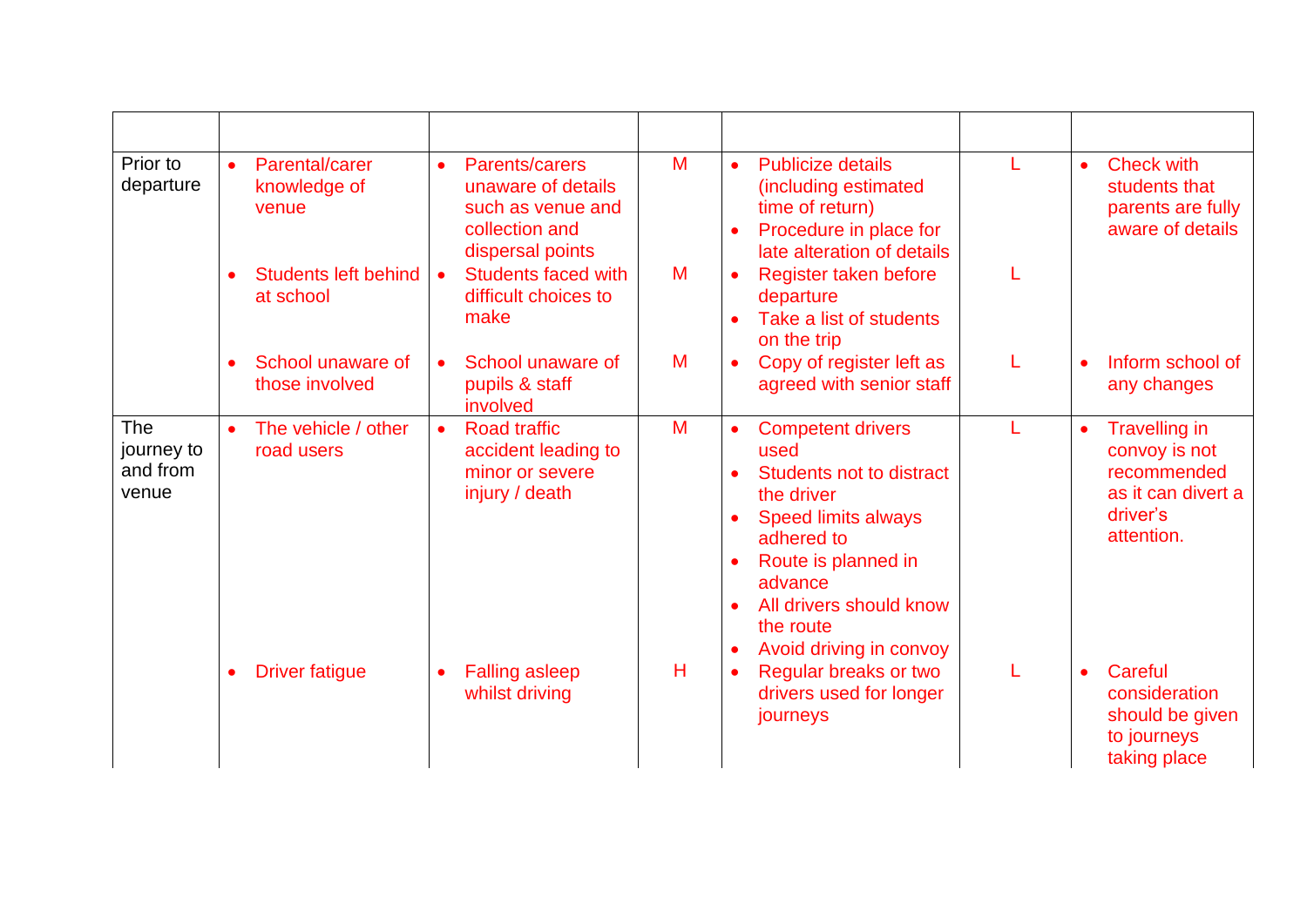| Prior to<br>departure                         | Parental/carer<br>$\bullet$<br>knowledge of<br>venue  | Parents/carers<br>$\bullet$<br>unaware of details<br>such as venue and<br>collection and<br>dispersal points | M | <b>Publicize details</b><br>$\bullet$<br>(including estimated<br>time of return)<br>Procedure in place for<br>late alteration of details                                                                                                        | <b>Check with</b><br>$\bullet$<br>students that<br>parents are fully<br>aware of details             |
|-----------------------------------------------|-------------------------------------------------------|--------------------------------------------------------------------------------------------------------------|---|-------------------------------------------------------------------------------------------------------------------------------------------------------------------------------------------------------------------------------------------------|------------------------------------------------------------------------------------------------------|
|                                               | <b>Students left behind</b><br>$\bullet$<br>at school | <b>Students faced with</b><br>$\bullet$<br>difficult choices to<br>make                                      | M | Register taken before<br>$\bullet$<br>departure<br>Take a list of students<br>on the trip                                                                                                                                                       |                                                                                                      |
|                                               | School unaware of<br>$\bullet$<br>those involved      | School unaware of<br>$\bullet$<br>pupils & staff<br>involved                                                 | M | Copy of register left as<br>agreed with senior staff                                                                                                                                                                                            | Inform school of<br>any changes                                                                      |
| <b>The</b><br>journey to<br>and from<br>venue | The vehicle / other<br>$\bullet$<br>road users        | <b>Road traffic</b><br>$\bullet$<br>accident leading to<br>minor or severe<br>injury / death                 | M | <b>Competent drivers</b><br>used<br><b>Students not to distract</b><br>the driver<br><b>Speed limits always</b><br>adhered to<br>Route is planned in<br>advance<br>All drivers should know<br>the route<br>Avoid driving in convoy<br>$\bullet$ | <b>Travelling in</b><br>convoy is not<br>recommended<br>as it can divert a<br>driver's<br>attention. |
|                                               | <b>Driver fatigue</b><br>$\bullet$                    | <b>Falling asleep</b><br>$\bullet$<br>whilst driving                                                         | Н | Regular breaks or two<br>drivers used for longer<br>journeys                                                                                                                                                                                    | Careful<br>$\bullet$<br>consideration<br>should be given<br>to journeys<br>taking place              |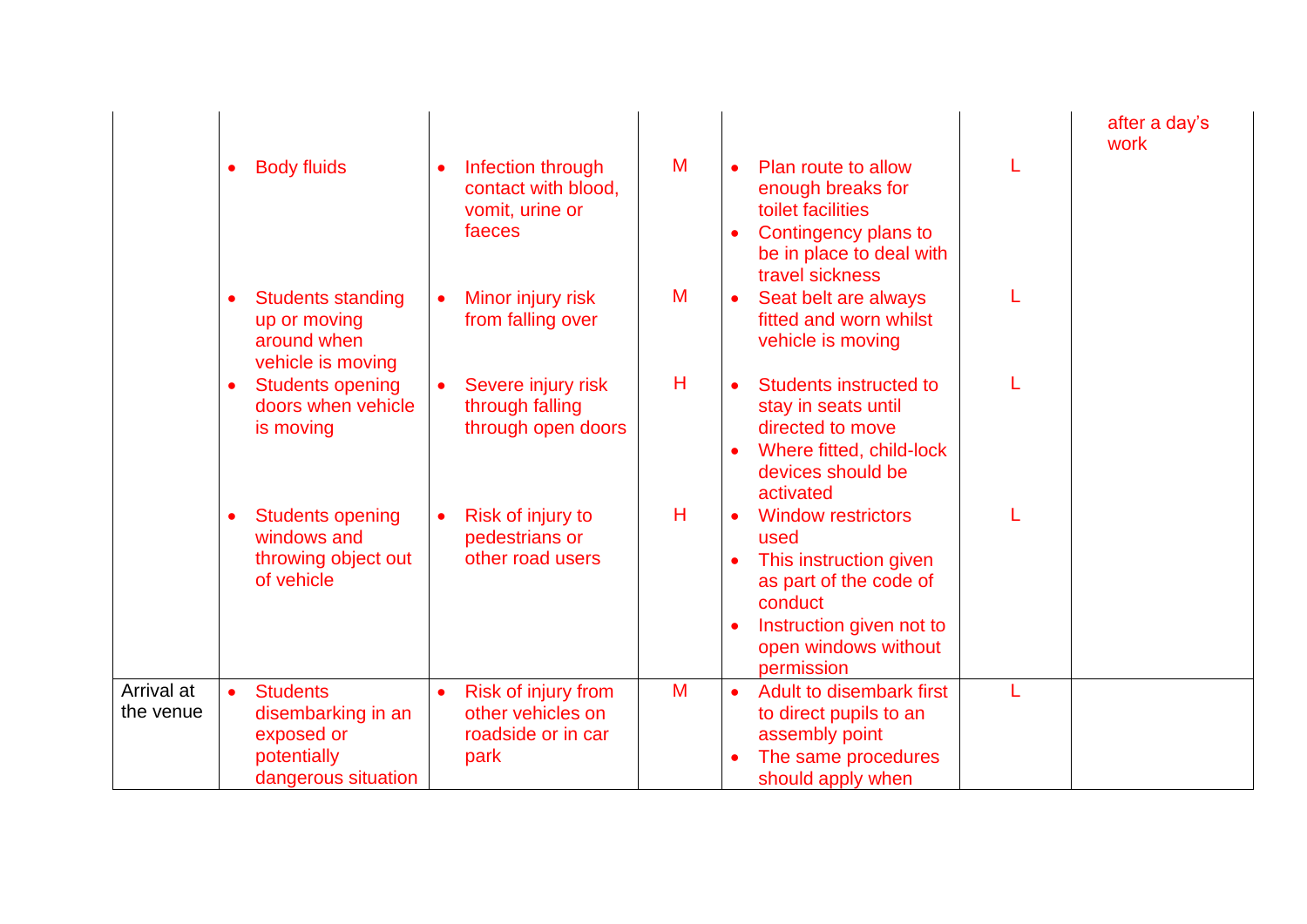|                         | $\bullet$ | <b>Body fluids</b>                                                                        | $\bullet$ | Infection through<br>contact with blood,<br>vomit, urine or<br>faeces         | M |                        | Plan route to allow<br>enough breaks for<br>toilet facilities<br>Contingency plans to<br>be in place to deal with<br>travel sickness                               | after a day's<br>work |
|-------------------------|-----------|-------------------------------------------------------------------------------------------|-----------|-------------------------------------------------------------------------------|---|------------------------|--------------------------------------------------------------------------------------------------------------------------------------------------------------------|-----------------------|
|                         | $\bullet$ | <b>Students standing</b><br>up or moving<br>around when<br>vehicle is moving              | $\bullet$ | Minor injury risk<br>from falling over                                        | M | $\bullet$              | Seat belt are always<br>fitted and worn whilst<br>vehicle is moving                                                                                                |                       |
|                         | $\bullet$ | <b>Students opening</b><br>doors when vehicle<br>is moving                                |           | Severe injury risk<br>through falling<br>through open doors                   | Н | $\bullet$<br>$\bullet$ | Students instructed to<br>stay in seats until<br>directed to move<br>Where fitted, child-lock<br>devices should be<br>activated                                    |                       |
|                         | $\bullet$ | <b>Students opening</b><br>windows and<br>throwing object out<br>of vehicle               |           | Risk of injury to<br>pedestrians or<br>other road users                       | H | $\bullet$<br>$\bullet$ | <b>Window restrictors</b><br>used<br>This instruction given<br>as part of the code of<br>conduct<br>Instruction given not to<br>open windows without<br>permission |                       |
| Arrival at<br>the venue | $\bullet$ | <b>Students</b><br>disembarking in an<br>exposed or<br>potentially<br>dangerous situation | $\bullet$ | <b>Risk of injury from</b><br>other vehicles on<br>roadside or in car<br>park | M |                        | Adult to disembark first<br>to direct pupils to an<br>assembly point<br>The same procedures<br>should apply when                                                   |                       |